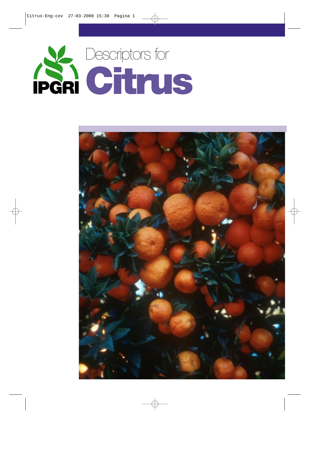

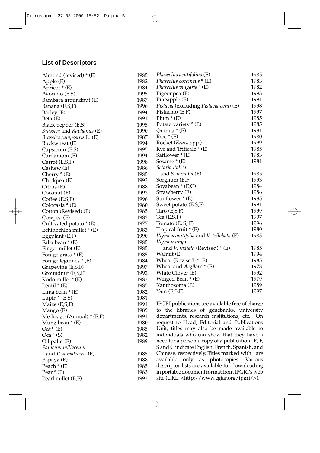# **List of Descriptors**

| Almond (revised) $*(E)$                 | 1985 | <i>Phaseolus acutifolius</i> (E)                                                         | 1985 |
|-----------------------------------------|------|------------------------------------------------------------------------------------------|------|
| Apple (E)                               | 1982 | Phaseolus coccineus * (E)                                                                | 1983 |
| Apricot $*(E)$                          | 1984 | Phaseolus vulgaris * (E)                                                                 | 1982 |
| Avocado (E,S)                           | 1995 | Pigeonpea (E)                                                                            | 1993 |
| Bambara groundnut (E)                   | 1987 | Pineapple (E)                                                                            | 1991 |
| Banana (E,S,F)                          | 1996 | <i>Pistacia</i> (excluding <i>Pistacia vera</i> ) (E)                                    | 1998 |
| Barley (E)                              | 1994 | Pistachio (E,F)                                                                          | 1997 |
| Beta (E)                                | 1991 | $Plum * (E)$                                                                             | 1985 |
| Black pepper (E,S)                      | 1995 | Potato variety $*(E)$                                                                    | 1985 |
| <i>Brassica</i> and <i>Raphanus</i> (E) | 1990 | Quinua * (E)                                                                             | 1981 |
| <i>Brassica campestris L. (E)</i>       | 1987 | $Rice * (E)$                                                                             | 1980 |
| Buckwheat (E)                           | 1994 | Rocket ( <i>Eruca</i> spp.)                                                              | 1999 |
| Capsicum (E,S)                          | 1995 | Rye and Triticale * (E)                                                                  | 1985 |
| Cardamom (E)                            | 1994 | Safflower * (E)                                                                          | 1983 |
| Carrot (E,S,F)                          | 1998 | Sesame * (E)                                                                             | 1981 |
| Cashew (E)                              | 1986 | Setaria italica                                                                          |      |
| Cherry $*(E)$                           | 1985 | and <i>S. pumilia</i> (E)                                                                | 1985 |
| Chickpea (E)                            | 1993 | Sorghum (E,F)                                                                            | 1993 |
| Citrus(E)                               | 1988 | Soyabean * (E,C)                                                                         | 1984 |
| Coconut (E)                             | 1992 | Strawberry (E)                                                                           | 1986 |
| Coffee $(E,S,F)$                        | 1996 | Sunflower * (E)                                                                          | 1985 |
| Colocasia * (E)                         | 1980 | Sweet potato (E,S,F)                                                                     | 1991 |
| Cotton (Revised) (E)                    | 1985 | Taro $(E,S,F)$                                                                           | 1999 |
| Cowpea (E)                              | 1983 | Tea $(E,S,F)$                                                                            | 1997 |
| Cultivated potato * (E)                 | 1977 | Tomato $(E, S, F)$                                                                       | 1996 |
| Echinochloa millet * (E)                | 1983 | Tropical fruit $*(E)$                                                                    | 1980 |
|                                         | 1990 | Vigna aconitifolia and V. trilobata (E)                                                  | 1985 |
| Eggplant (E,F)<br>Faba bean * (E)       | 1985 | Vigna mungo                                                                              |      |
|                                         | 1985 | and <i>V. radiata</i> (Revised) $*(E)$                                                   | 1985 |
| Finger millet (E)                       | 1985 | Walnut (E)                                                                               | 1994 |
| Forage grass $*(E)$                     | 1984 | Wheat (Revised) $*(E)$                                                                   | 1985 |
| Forage legumes * (E)                    | 1997 | Wheat and <i>Aegilops</i> * (E)                                                          | 1978 |
| Grapevine (E,S,F)                       | 1992 | White Clover (E)                                                                         | 1992 |
| Groundnut (E,S,F)                       | 1983 | Winged Bean * (E)                                                                        | 1979 |
| Kodo millet * (E)                       | 1985 | Xanthosoma (E)                                                                           | 1989 |
| Lentil $*(E)$                           | 1982 | Yam(E,S,F)                                                                               | 1997 |
| Lima bean $*(E)$                        |      |                                                                                          |      |
| Lupin $*(E,S)$                          | 1981 | IPGRI publications are available free of charge                                          |      |
| Maize (E,S,F)                           | 1991 |                                                                                          |      |
| Mango (E)                               | 1989 | to the libraries of genebanks, university<br>departments, research institutions, etc. On |      |
| Medicago (Annual) $*(E,F)$              | 1991 | request to Head, Editorial and Publications                                              |      |
| Mung bean $*(E)$                        | 1980 |                                                                                          |      |
| $Out*(E)$                               | 1985 | Unit, titles may also be made available to                                               |      |
| $Oca * (S)$                             | 1982 | individuals who can show that they have a                                                |      |
| Oil palm (E)                            | 1989 | need for a personal copy of a publication. E, F,                                         |      |
| Panicum miliaceum                       |      | S and C indicate English, French, Spanish, and                                           |      |
| and P. sumatrense (E)                   | 1985 | Chinese, respectively. Titles marked with * are                                          |      |
| Papaya (E)                              | 1988 | available only as photocopies. Various                                                   |      |
| Peach $*(E)$                            | 1985 | descriptor lists are available for downloading                                           |      |
| Pear $*(E)$                             | 1983 | in portable document format from IPGRI's web                                             |      |
| Pearl millet (E,F)                      | 1993 | site (URL: <http: ipgri="" www.cgiar.org=""></http:> ).                                  |      |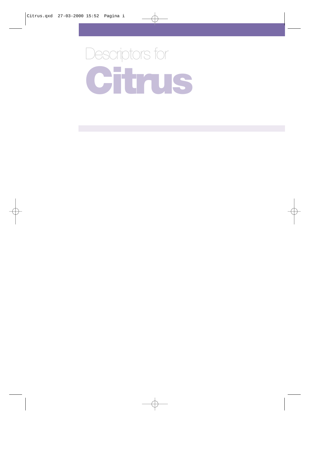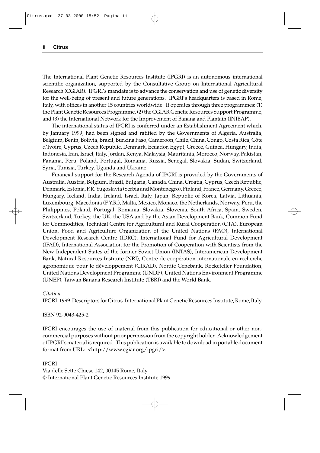The International Plant Genetic Resources Institute (IPGRI) is an autonomous international scientific organization, supported by the Consultative Group on International Agricultural Research (CGIAR). IPGRI's mandate is to advance the conservation and use of genetic diversity for the well-being of present and future generations. IPGRI's headquarters is based in Rome, Italy, with offices in another 15 countries worldwide. It operates through three programmes: (1) the Plant Genetic Resources Programme, (2) the CGIAR Genetic Resources Support Programme, and (3) the International Network for the Improvement of Banana and Plantain (INIBAP).

The international status of IPGRI is conferred under an Establishment Agreement which, by January 1999, had been signed and ratified by the Governments of Algeria, Australia, Belgium, Benin, Bolivia, Brazil, Burkina Faso, Cameroon, Chile, China, Congo, Costa Rica, Côte d'Ivoire, Cyprus, Czech Republic, Denmark, Ecuador, Egypt, Greece, Guinea, Hungary, India, Indonesia, Iran, Israel, Italy, Jordan, Kenya, Malaysia, Mauritania, Morocco, Norway, Pakistan, Panama, Peru, Poland, Portugal, Romania, Russia, Senegal, Slovakia, Sudan, Switzerland, Syria, Tunisia, Turkey, Uganda and Ukraine.

Financial support for the Research Agenda of IPGRI is provided by the Governments of Australia, Austria, Belgium, Brazil, Bulgaria, Canada, China, Croatia, Cyprus, Czech Republic, Denmark, Estonia, F.R. Yugoslavia (Serbia and Montenegro), Finland, France, Germany, Greece, Hungary, Iceland, India, Ireland, Israel, Italy, Japan, Republic of Korea, Latvia, Lithuania, Luxembourg, Macedonia (F.Y.R.), Malta, Mexico, Monaco, the Netherlands, Norway, Peru, the Philippines, Poland, Portugal, Romania, Slovakia, Slovenia, South Africa, Spain, Sweden, Switzerland, Turkey, the UK, the USA and by the Asian Development Bank, Common Fund for Commodities, Technical Centre for Agricultural and Rural Cooperation (CTA), European Union, Food and Agriculture Organization of the United Nations (FAO), International Development Research Centre (IDRC), International Fund for Agricultural Development (IFAD), International Association for the Promotion of Cooperation with Scientists from the New Independent States of the former Soviet Union (INTAS), Interamerican Development Bank, Natural Resources Institute (NRI), Centre de coopération internationale en recherche agronomique pour le développement (CIRAD), Nordic Genebank, Rockefeller Foundation, United Nations Development Programme (UNDP), United Nations Environment Programme (UNEP), Taiwan Banana Research Institute (TBRI) and the World Bank.

#### *Citation*

IPGRI. 1999. Descriptors for Citrus. International Plant Genetic Resources Institute, Rome, Italy.

ISBN 92-9043-425-2

IPGRI encourages the use of material from this publication for educational or other noncommercial purposes without prior permission from the copyright holder. Acknowledgement of IPGRI's material is required. This publication is available to download in portable document format from URL: <http://www.cgiar.org/ipgri/>.

IPGRI Via delle Sette Chiese 142, 00145 Rome, Italy © International Plant Genetic Resources Institute 1999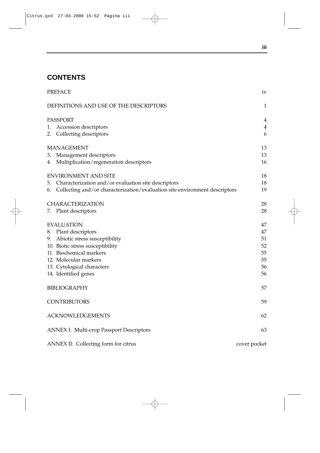# **CONTENTS**

|    | PREFACE                                                                    | 1V           |
|----|----------------------------------------------------------------------------|--------------|
|    | DEFINITIONS AND USE OF THE DESCRIPTORS                                     | 1            |
|    | <b>PASSPORT</b>                                                            | 4            |
|    | 1. Accession descriptors                                                   | 4            |
|    | 2. Collecting descriptors                                                  | 6            |
|    | <b>MANAGEMENT</b>                                                          | 13           |
|    | 3. Management descriptors                                                  | 13           |
|    | 4. Multiplication/regeneration descriptors                                 | 16           |
|    | <b>ENVIRONMENT AND SITE</b>                                                | 18           |
| 5. | Characterization and/or evaluation site descriptors                        | 18           |
| 6. | Collecting and/or characterization/evaluation site environment descriptors | 19           |
|    | CHARACTERIZATION                                                           | 28           |
|    | 7. Plant descriptors                                                       | 28           |
|    | <b>EVALUATION</b>                                                          | 47           |
| 8. | Plant descriptors                                                          | 47           |
|    | 9. Abiotic stress susceptibility                                           | 51           |
|    | 10. Biotic stress susceptibility                                           | 52           |
|    | 11. Biochemical markers                                                    | 55           |
|    | 12. Molecular markers                                                      | 55           |
|    | 13. Cytological characters                                                 | 56           |
|    | 14. Identified genes                                                       | 56           |
|    | BIBLIOGRAPHY                                                               | 57           |
|    | <b>CONTRIBUTORS</b>                                                        | 59           |
|    | <b>ACKNOWLEDGEMENTS</b>                                                    | 62           |
|    | <b>ANNEX I: Multi-crop Passport Descriptors</b>                            | 63           |
|    | ANNEX II: Collecting form for citrus                                       | cover pocket |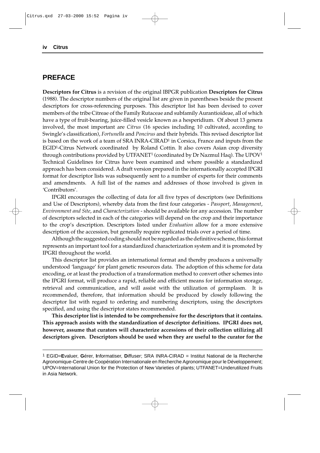## **PREFACE**

**Descriptors for Citrus** is a revision of the original IBPGR publication **Descriptors for Citrus** (1988). The descriptor numbers of the original list are given in parentheses beside the present descriptors for cross-referencing purposes. This descriptor list has been devised to cover members of the tribe Citreae of the Family Rutaceae and subfamily Aurantioideae, all of which have a type of fruit-bearing, juice-filled vesicle known as a hesperidium. Of about 13 genera involved, the most important are *Citrus* (16 species including 10 cultivated, according to Swingle's classification), *Fortunella* and *Poncirus* and their hybrids. This revised descriptor list is based on the work of a team of SRA INRA-CIRAD<sup>1</sup> in Corsica, France and inputs from the EGID1-Citrus Network coordinated by Roland Cottin. It also covers Asian crop diversity through contributions provided by UTFANET1 (coordinated by Dr Nazmul Haq). The UPOV1 Technical Guidelines for Citrus have been examined and where possible a standardized approach has been considered. A draft version prepared in the internationally accepted IPGRI format for descriptor lists was subsequently sent to a number of experts for their comments and amendments. A full list of the names and addresses of those involved is given in 'Contributors'.

IPGRI encourages the collecting of data for all five types of descriptors (see Definitions and Use of Descriptors), whereby data from the first four categories - *Passport*, *Management*, *Environment and Site*, and *Characterization* - should be available for any accession. The number of descriptors selected in each of the categories will depend on the crop and their importance to the crop's description. Descriptors listed under *Evaluation* allow for a more extensive description of the accession, but generally require replicated trials over a period of time.

Although the suggested coding should not be regarded as the definitive scheme, this format represents an important tool for a standardized characterization system and it is promoted by IPGRI throughout the world.

This descriptor list provides an international format and thereby produces a universally understood 'language' for plant genetic resources data. The adoption of this scheme for data encoding, or at least the production of a transformation method to convert other schemes into the IPGRI format, will produce a rapid, reliable and efficient means for information storage, retrieval and communication, and will assist with the utilization of germplasm. It is recommended, therefore, that information should be produced by closely following the descriptor list with regard to ordering and numbering descriptors, using the descriptors specified, and using the descriptor states recommended.

**This descriptor list is intended to be comprehensive for the descriptors that it contains. This approach assists with the standardization of descriptor definitions. IPGRI does not, however, assume that curators will characterize accessions of their collection utilizing all descriptors given. Descriptors should be used when they are useful to the curator for the**

<sup>1</sup> EGID=**E**valuer, **G**érer, **I**nformatiser, **D**iffuser; SRA INRA-CIRAD = Institut National de la Recherche Agronomique-Centre de Coopération Internationale en Recherche Agronomique pour le Développement; UPOV=International Union for the Protection of New Varieties of plants; UTFANET=Underutilized Fruits in Asia Network.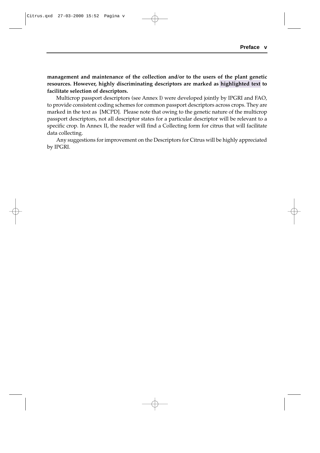**management and maintenance of the collection and/or to the users of the plant genetic resources. However, highly discriminating descriptors are marked as highlighted text to facilitate selection of descriptors.**

Multicrop passport descriptors (see Annex I) were developed jointly by IPGRI and FAO, to provide consistent coding schemes for common passport descriptors across crops. They are marked in the text as [MCPD]. Please note that owing to the genetic nature of the multicrop passport descriptors, not all descriptor states for a particular descriptor will be relevant to a specific crop. In Annex II, the reader will find a Collecting form for citrus that will facilitate data collecting.

Any suggestions for improvement on the Descriptors for Citrus will be highly appreciated by IPGRI.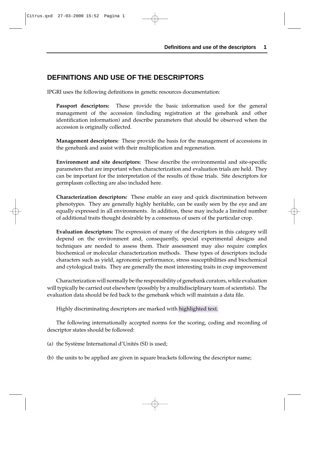# **DEFINITIONS AND USE OF THE DESCRIPTORS**

IPGRI uses the following definitions in genetic resources documentation:

**Passport descriptors:** These provide the basic information used for the general management of the accession (including registration at the genebank and other identification information) and describe parameters that should be observed when the accession is originally collected.

**Management descriptors:** These provide the basis for the management of accessions in the genebank and assist with their multiplication and regeneration.

**Environment and site descriptors:** These describe the environmental and site-specific parameters that are important when characterization and evaluation trials are held. They can be important for the interpretation of the results of those trials. Site descriptors for germplasm collecting are also included here.

**Characterization descriptors:** These enable an easy and quick discrimination between phenotypes. They are generally highly heritable, can be easily seen by the eye and are equally expressed in all environments. In addition, these may include a limited number of additional traits thought desirable by a consensus of users of the particular crop.

**Evaluation descriptors:** The expression of many of the descriptors in this category will depend on the environment and, consequently, special experimental designs and techniques are needed to assess them. Their assessment may also require complex biochemical or molecular characterization methods. These types of descriptors include characters such as yield, agronomic performance, stress susceptibilities and biochemical and cytological traits. They are generally the most interesting traits in crop improvement

Characterization will normally be the responsibility of genebank curators, while evaluation will typically be carried out elsewhere (possibly by a multidisciplinary team of scientists). The evaluation data should be fed back to the genebank which will maintain a data file.

Highly discriminating descriptors are marked with highlighted text.

The following internationally accepted norms for the scoring, coding and recording of descriptor states should be followed:

(a) the Système International d'Unités (SI) is used;

(b) the units to be applied are given in square brackets following the descriptor name;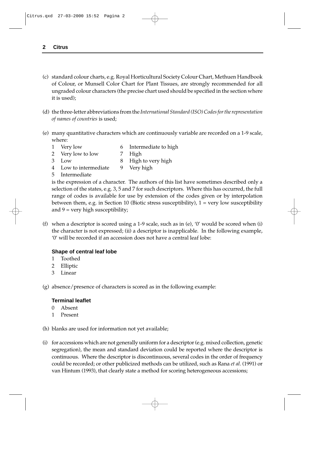- (c) standard colour charts, e.g. Royal Horticultural Society Colour Chart, Methuen Handbook of Colour, or Munsell Color Chart for Plant Tissues, are strongly recommended for all ungraded colour characters (the precise chart used should be specified in the section where it is used);
- (d) the three-letter abbreviations from the *International Standard (ISO) Codes for the representation of names of countries* is used;
- (e) many quantitative characters which are continuously variable are recorded on a 1-9 scale, where:
	- 1 Very low 6 Intermediate to high
	- 2 Very low to low 7 High
	- 3 Low 8 High to very high
	- 4 Low to intermediate 9 Very high
	- 5 Intermediate

is the expression of a character. The authors of this list have sometimes described only a selection of the states, e.g. 3, 5 and 7 for such descriptors. Where this has occurred, the full range of codes is available for use by extension of the codes given or by interpolation between them, e.g. in Section 10 (Biotic stress susceptibility),  $1 = \text{very low susceptibility}$ and  $9 = \text{very high susceptibility}$ ;

(f) when a descriptor is scored using a 1-9 scale, such as in (e), '0' would be scored when (i) the character is not expressed; (ii) a descriptor is inapplicable. In the following example, '0' will be recorded if an accession does not have a central leaf lobe:

### **Shape of central leaf lobe**

- 1 Toothed
- 2 Elliptic
- 3 Linear

(g) absence/presence of characters is scored as in the following example:

### **Terminal leaflet**

- 0 Absent
- 1 Present
- (h) blanks are used for information not yet available;
- (i) for accessions which are not generally uniform for a descriptor (e.g. mixed collection, genetic segregation), the mean and standard deviation could be reported where the descriptor is continuous. Where the descriptor is discontinuous, several codes in the order of frequency could be recorded; or other publicized methods can be utilized, such as Rana *et al*. (1991) or van Hintum (1993), that clearly state a method for scoring heterogeneous accessions;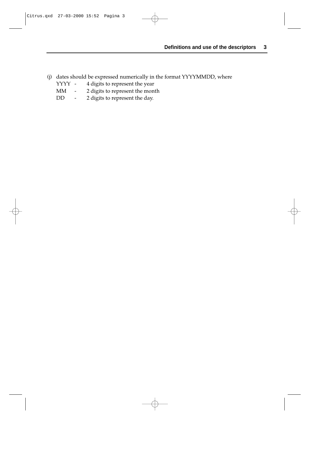- (j) dates should be expressed numerically in the format YYYYMMDD, where  $YYYYY 4$  digits to represent the year
	- YYYY 4 digits to represent the year<br>MM 2 digits to represent the mon
	- 2 digits to represent the month
	- DD 2 digits to represent the day.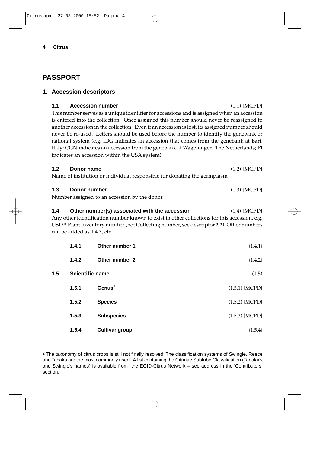# **PASSPORT**

## **1. Accession descriptors**

#### **1.1 Accession number** (1.1) [MCPD]

This number serves as a unique identifier for accessions and is assigned when an accession is entered into the collection. Once assigned this number should never be reassigned to another accession in the collection. Even if an accession is lost, its assigned number should never be re-used. Letters should be used before the number to identify the genebank or national system (e.g. IDG indicates an accession that comes from the genebank at Bari, Italy; CGN indicates an accession from the genebank at Wageningen, The Netherlands; PI indicates an accession within the USA system).

#### **1.2 Donor name** (1.2) [MCPD]

Name of institution or individual responsible for donating the germplasm

| 1.3 | Donor number |  |  | $(1.3)$ [MCPD] |
|-----|--------------|--|--|----------------|
|     |              |  |  |                |

Number assigned to an accession by the donor

#### **1.4 Other number(s) associated with the accession** (1.4) [MCPD]

Any other identification number known to exist in other collections for this accession, e.g. USDA Plant Inventory number (not Collecting number, see descriptor **2.2**). Other numbers can be added as 1.4.3, etc.

|     | 1.4.1                  | Other number 1        | (1.4.1)          |
|-----|------------------------|-----------------------|------------------|
|     | 1.4.2                  | Other number 2        | (1.4.2)          |
| 1.5 | <b>Scientific name</b> |                       | (1.5)            |
|     | 1.5.1                  | Genus <sup>2</sup>    | $(1.5.1)$ [MCPD] |
|     | 1.5.2                  | <b>Species</b>        | $(1.5.2)$ [MCPD] |
|     | 1.5.3                  | <b>Subspecies</b>     | $(1.5.3)$ [MCPD] |
|     | 1.5.4                  | <b>Cultivar group</b> | (1.5.4)          |

2 The taxonomy of citrus crops is still not finally resolved. The classification systems of Swingle, Reece and Tanaka are the most commonly used. A list containing the Citrinae Subtribe Classification (Tanaka's and Swingle's names) is available from the EGID-Citrus Network – see address in the 'Contributors' section.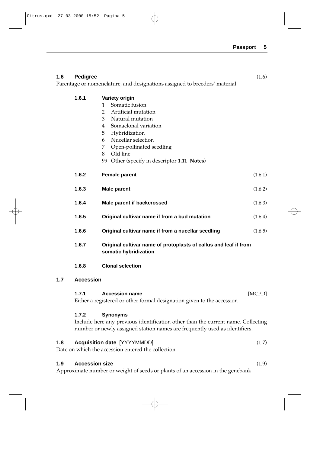| 1.6 | <b>Pedigree</b>       |                                                                                                                                                                                                                                                                                                     | (1.6)   |
|-----|-----------------------|-----------------------------------------------------------------------------------------------------------------------------------------------------------------------------------------------------------------------------------------------------------------------------------------------------|---------|
|     |                       | Parentage or nomenclature, and designations assigned to breeders' material                                                                                                                                                                                                                          |         |
|     | 1.6.1                 | Variety origin<br>Somatic fusion<br>1<br>$\overline{2}$<br>Artificial mutation<br>Natural mutation<br>3<br>Somaclonal variation<br>4<br>Hybridization<br>5 <sup>1</sup><br>Nucellar selection<br>6<br>Open-pollinated seedling<br>7<br>Old line<br>8<br>99 Other (specify in descriptor 1.11 Notes) |         |
|     | 1.6.2                 | <b>Female parent</b>                                                                                                                                                                                                                                                                                | (1.6.1) |
|     | 1.6.3                 | <b>Male parent</b>                                                                                                                                                                                                                                                                                  | (1.6.2) |
|     | 1.6.4                 | Male parent if backcrossed                                                                                                                                                                                                                                                                          | (1.6.3) |
|     | 1.6.5                 | Original cultivar name if from a bud mutation                                                                                                                                                                                                                                                       | (1.6.4) |
|     | 1.6.6                 | Original cultivar name if from a nucellar seedling                                                                                                                                                                                                                                                  | (1.6.5) |
|     | 1.6.7                 | Original cultivar name of protoplasts of callus and leaf if from<br>somatic hybridization                                                                                                                                                                                                           |         |
|     | 1.6.8                 | <b>Clonal selection</b>                                                                                                                                                                                                                                                                             |         |
| 1.7 | <b>Accession</b>      |                                                                                                                                                                                                                                                                                                     |         |
|     | 1.7.1                 | <b>Accession name</b><br>Either a registered or other formal designation given to the accession                                                                                                                                                                                                     | [MCPD]  |
|     | 1.7.2                 | <b>Synonyms</b><br>Include here any previous identification other than the current name. Collecting<br>number or newly assigned station names are frequently used as identifiers.                                                                                                                   |         |
| 1.8 |                       | <b>Acquisition date [YYYYMMDD]</b><br>Date on which the accession entered the collection                                                                                                                                                                                                            | (1.7)   |
| 1.9 | <b>Accession size</b> |                                                                                                                                                                                                                                                                                                     | (1.9)   |

Approximate number or weight of seeds or plants of an accession in the genebank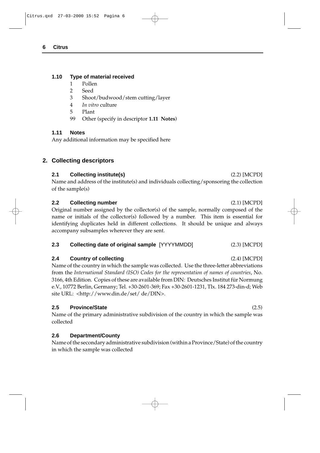## **1.10 Type of material received**

- 1 Pollen
- 2 Seed
- 3 Shoot/budwood/stem cutting/layer
- 4 *In vitro* culture
- 5 Plant
- 99 Other (specify in descriptor **1.11 Notes**)

## **1.11 Notes**

Any additional information may be specified here

## **2. Collecting descriptors**

## **2.1 Collecting institute(s)** (2.2) [MCPD]

Name and address of the institute(s) and individuals collecting/sponsoring the collection of the sample(s)

## **2.2 Collecting number** (2.1) [MCPD]

Original number assigned by the collector(s) of the sample, normally composed of the name or initials of the collector(s) followed by a number. This item is essential for identifying duplicates held in different collections. It should be unique and always accompany subsamples wherever they are sent.

## **2.3 Collecting date of original sample** [YYYYMMDD] (2.3) [MCPD]

## **2.4 Country of collecting** (2.4) [MCPD]

Name of the country in which the sample was collected. Use the three-letter abbreviations from the *International Standard (ISO) Codes for the representation of names of countries*, No. 3166, 4th Edition. Copies of these are available from DIN: Deutsches Institut für Normung e.V., 10772 Berlin, Germany; Tel. +30-2601-369; Fax +30-2601-1231, Tlx. 184 273-din-d; Web site URL: <http://www.din.de/set/ de/DIN>.

## **2.5 Province/State** (2.5)

Name of the primary administrative subdivision of the country in which the sample was collected

## **2.6 Department/County**

Name of the secondary administrative subdivision (within a Province/State) of the country in which the sample was collected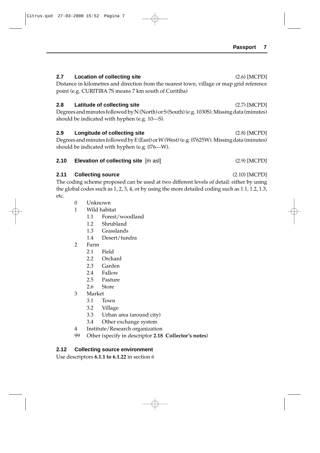## **2.7 Location of collecting site** (2.6) [MCPD]

Distance in kilometres and direction from the nearest town, village or map grid reference point (e.g. CURITIBA 7S means 7 km south of Curitiba)

## **2.8 Latitude of collecting site** (2.7) [MCPD]

Degrees and minutes followed by N (North) or S (South) (e.g. 1030S). Missing data (minutes) should be indicated with hyphen (e.g. 10—S).

## **2.9 Longitude of collecting site** (2.8) [MCPD]

Degrees and minutes followed by E (East) or W (West) (e.g. 07625W). Missing data (minutes) should be indicated with hyphen (e.g. 076—W).

## **2.10 Elevation of collecting site** [m asl] (2.9) [MCPD]

## **2.11 Collecting source** (2.10) [MCPD]

The coding scheme proposed can be used at two different levels of detail: either by using the global codes such as 1, 2, 3, 4, or by using the more detailed coding such as 1.1, 1.2, 1.3, etc.

- 0 Unknown
- 1 Wild habitat
	- 1.1 Forest/woodland
	- 1.2 Shrubland
	- 1.3 Grasslands
	- 1.4 Desert/tundra
- 2 Farm
	- 2.1 Field
	- 2.2 Orchard
	- 2.3 Garden
	- 2.4 Fallow
	- 2.5 Pasture
	- 2.6 Store
- 3 Market
	- 3.1 Town
	- 3.2 Village
	- 3.3 Urban area (around city)
	- 3.4 Other exchange system
- 4 Institute/Research organization
- 99 Other (specify in descriptor **2.18 Collector's notes**)

## **2.12 Collecting source environment**

Use descriptors **6.1.1 to 6.1.22** in section 6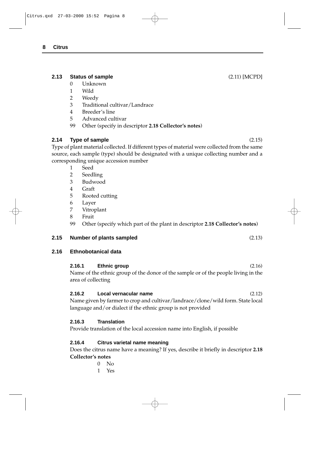## **2.13 Status of sample** (2.11) [MCPD]

- 0 Unknown
- 1 Wild
- 2 Weedy
- 3 Traditional cultivar/Landrace
- 4 Breeder's line
- 5 Advanced cultivar
- 99 Other (specify in descriptor **2.18 Collector's notes**)

## **2.14 Type of sample** (2.15)

Type of plant material collected. If different types of material were collected from the same source, each sample (type) should be designated with a unique collecting number and a corresponding unique accession number

- 1 Seed
- 2 Seedling
- 3 Budwood
- 4 Graft
- 5 Rooted cutting
- 6 Layer
- 7 Vitroplant
- 8 Fruit
- 99 Other (specify which part of the plant in descriptor **2.18 Collector's notes**)

### **2.15 Number of plants sampled** (2.13)

## **2.16 Ethnobotanical data**

# **2.16.1 Ethnic group** (2.16)

Name of the ethnic group of the donor of the sample or of the people living in the area of collecting

### **2.16.2 Local vernacular name** (2.12)

Name given by farmer to crop and cultivar/landrace/clone/wild form. State local language and/or dialect if the ethnic group is not provided

## **2.16.3 Translation**

Provide translation of the local accession name into English, if possible

## **2.16.4 Citrus varietal name meaning**

Does the citrus name have a meaning? If yes, describe it briefly in descriptor **2.18 Collector's notes**

- $0$  No
- 1 Yes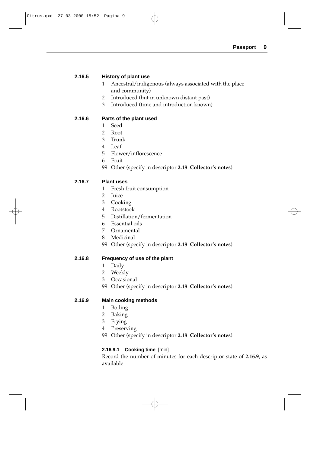#### **2.16.5 History of plant use**

- 1 Ancestral/indigenous (always associated with the place and community)
- 2 Introduced (but in unknown distant past)
- 3 Introduced (time and introduction known)

#### **2.16.6 Parts of the plant used**

- 1 Seed
- 2 Root
- 3 Trunk
- 4 Leaf
- 5 Flower/inflorescence
- 6 Fruit
- 99 Other (specify in descriptor **2.18 Collector's notes**)

#### **2.16.7 Plant uses**

- 1 Fresh fruit consumption
- 2 Juice
- 3 Cooking
- 4 Rootstock
- 5 Distillation/fermentation
- 6 Essential oils
- 7 Ornamental
- 8 Medicinal
- 99 Other (specify in descriptor **2.18 Collector's notes**)

#### **2.16.8 Frequency of use of the plant**

- 1 Daily
- 2 Weekly
- 3 Occasional
- 99 Other (specify in descriptor **2.18 Collector's notes**)

#### **2.16.9 Main cooking methods**

- 1 Boiling
- 2 Baking
- 3 Frying
- 4 Preserving
- 99 Other (specify in descriptor **2.18 Collector's notes**)

### **2.16.9.1 Cooking time** [min]

Record the number of minutes for each descriptor state of **2.16.9**, as available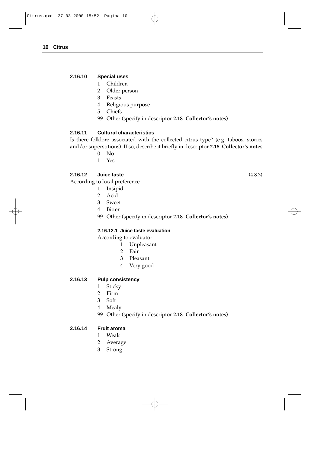#### **2.16.10 Special uses**

- 1 Children
- 2 Older person
- 3 Feasts
- 4 Religious purpose
- 5 Chiefs
- 99 Other (specify in descriptor **2.18 Collector's notes**)

#### **2.16.11 Cultural characteristics**

Is there folklore associated with the collected citrus type? (e.g. taboos, stories and/or superstitions). If so, describe it briefly in descriptor **2.18 Collector's notes**

- 0 No
- 1 Yes

#### **2.16.12 Juice taste** (4.8.3)

According to local preference

- 1 Insipid
- 2 Acid
- 3 Sweet
- 4 Bitter
- 99 Other (specify in descriptor **2.18 Collector's notes**)

#### **2.16.12.1 Juice taste evaluation**

According to evaluator

- 1 Unpleasant
- 2 Fair
- 3 Pleasant
- 4 Very good

#### **2.16.13 Pulp consistency**

- 1 Sticky
- 2 Firm
- 3 Soft
- 
- 4 Mealy
- 99 Other (specify in descriptor **2.18 Collector's notes**)

#### **2.16.14 Fruit aroma**

- 1 Weak
- 2 Average
- 3 Strong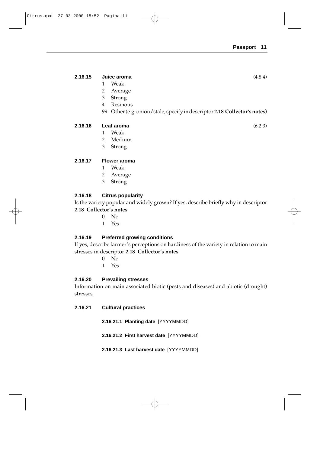#### **2.16.15 Juice aroma** (4.8.4)

- 1 Weak
- 2 Average
- 3 Strong
- 4 Resinous
- 99 Other (e.g. onion/stale, specify in descriptor **2.18 Collector's notes**)

## **2.16.16 Leaf aroma** (6.2.3)

- 1 Weak
- 2 Medium
- 3 Strong

#### **2.16.17 Flower aroma**

- 1 Weak
- 2 Average
- 3 Strong

### **2.16.18 Citrus popularity**

Is the variety popular and widely grown? If yes, describe briefly why in descriptor **2.18 Collector's notes**

- $0$  No
- 1 Yes

#### **2.16.19 Preferred growing conditions**

If yes, describe farmer's perceptions on hardiness of the variety in relation to main stresses in descriptor **2.18 Collector's notes**

- $0$  No
- 1 Yes

#### **2.16.20 Prevailing stresses**

Information on main associated biotic (pests and diseases) and abiotic (drought) stresses

#### **2.16.21 Cultural practices**

- **2.16.21.1 Planting date** [YYYYMMDD]
- **2.16.21.2 First harvest date** [YYYYMMDD]
- **2.16.21.3 Last harvest date** [YYYYMMDD]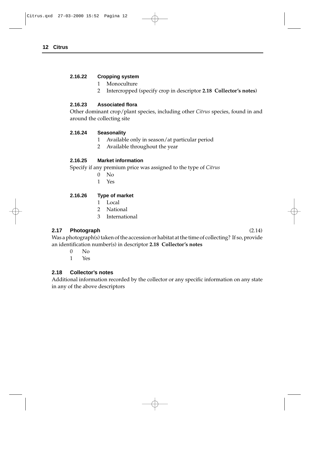### **2.16.22 Cropping system**

- 1 Monoculture
- 2 Intercropped (specify crop in descriptor **2.18 Collector's notes**)

## **2.16.23 Associated flora**

Other dominant crop/plant species, including other *Citrus* species, found in and around the collecting site

### **2.16.24 Seasonality**

- 1 Available only in season/at particular period
- 2 Available throughout the year

## **2.16.25 Market information**

Specify if any premium price was assigned to the type of *Citrus*

- 0 No
- 1 Yes

## **2.16.26 Type of market**

- 1 Local
- 2 National
- 3 International

## **2.17 Photograph** (2.14)

Was a photograph(s) taken of the accession or habitat at the time of collecting? If so, provide an identification number(s) in descriptor **2.18 Collector's notes**

- $0$  No
- 1 Yes

## **2.18 Collector's notes**

Additional information recorded by the collector or any specific information on any state in any of the above descriptors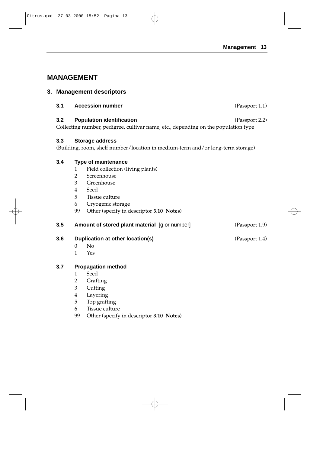(Passport 1.1)

# **MANAGEMENT**

## **3. Management descriptors**

**3.2 Population identification** (Passport 2.2) Collecting number, pedigree, cultivar name, etc., depending on the population type

## **3.3 Storage address**

(Building, room, shelf number/location in medium-term and/or long-term storage)

## **3.4 Type of maintenance**

- 1 Field collection (living plants)
- 2 Screenhouse
- 3 Greenhouse
- 4 Seed
- 5 Tissue culture
- 6 Cryogenic storage
- 99 Other (specify in descriptor **3.10 Notes**)

## **3.5 Amount of stored plant material** [g or number] (Passport 1.9)

- **3.6 Duplication at other location(s)** (Passport 1.4)
	- $0$  No
	- 1 Yes

## **3.7 Propagation method**

- 1 Seed
- 2 Grafting
- 3 Cutting
- 4 Layering
- 5 Top grafting
- 6 Tissue culture
- 99 Other (specify in descriptor **3.10 Notes**)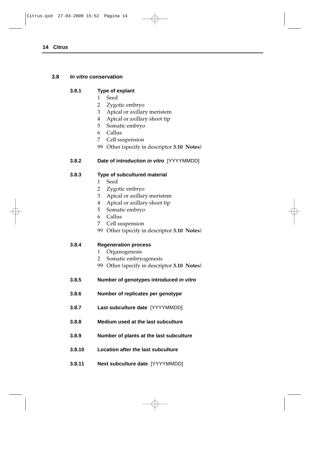## **3.8 In vitro conservation**

#### **3.8.1 Type of explant**

- 1 Seed
- 2 Zygotic embryo
- 3 Apical or axillary meristem
- 4 Apical or axillary shoot tip
- 5 Somatic embryo
- 6 Callus
- 7 Cell suspension
- 99 Other (specify in descriptor **3.10 Notes**)

## **3.8.2 Date of introduction in vitro** [YYYYMMDD]

### **3.8.3 Type of subcultured material**

- 1 Seed
- 2 Zygotic embryo
- 3 Apical or axillary meristem
- 4 Apical or axillary shoot tip
- 5 Somatic embryo
- 6 Callus
- 7 Cell suspension
- 99 Other (specify in descriptor **3.10 Notes**)

### **3.8.4 Regeneration process**

- 1 Organogenesis
- 2 Somatic embryogenesis
- 99 Other (specify in descriptor **3.10 Notes**)
- **3.8.5 Number of genotypes introduced in vitro**
- **3.8.6 Number of replicates per genotype**
- **3.8.7 Last subculture date** [YYYYMMDD]
- **3.8.8 Medium used at the last subculture**
- **3.8.9 Number of plants at the last subculture**
- **3.8.10 Location after the last subculture**
- **3.8.11 Next subculture date** [YYYYMMDD]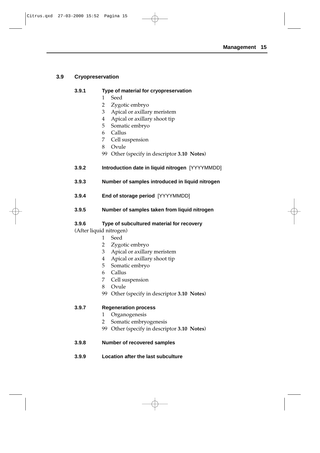## **3.9 Cryopreservation**

## **3.9.1 Type of material for cryopreservation**

- 1 Seed
- 2 Zygotic embryo
- 3 Apical or axillary meristem
- 4 Apical or axillary shoot tip
- 5 Somatic embryo
- 6 Callus
- 7 Cell suspension
- 8 Ovule
- 99 Other (specify in descriptor **3.10 Notes**)
- **3.9.2 Introduction date in liquid nitrogen** [YYYYMMDD]
- **3.9.3 Number of samples introduced in liquid nitrogen**
- **3.9.4 End of storage period** [YYYYMMDD]
- **3.9.5 Number of samples taken from liquid nitrogen**

## **3.9.6 Type of subcultured material for recovery**

## (After liquid nitrogen)

- 1 Seed
	- 2 Zygotic embryo
	- 3 Apical or axillary meristem
	- 4 Apical or axillary shoot tip
	- 5 Somatic embryo
	- 6 Callus
	- 7 Cell suspension
	- 8 Ovule
	- 99 Other (specify in descriptor **3.10 Notes**)

## **3.9.7 Regeneration process**

- 1 Organogenesis
- 2 Somatic embryogenesis
- 99 Other (specify in descriptor **3.10 Notes**)
- **3.9.8 Number of recovered samples**
- **3.9.9 Location after the last subculture**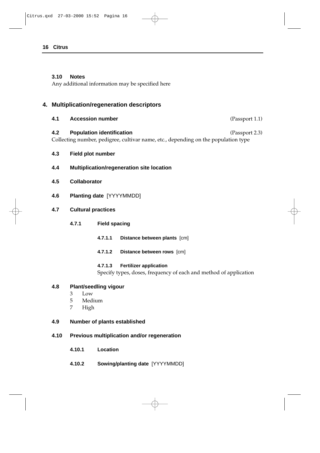#### **3.10 Notes**

Any additional information may be specified here

## **4. Multiplication/regeneration descriptors**

- **4.1 Accession number** (Passport 1.1) **4.2 Population identification** (Passport 2.3) Collecting number, pedigree, cultivar name, etc., depending on the population type
- **4.3 Field plot number**
- **4.4 Multiplication/regeneration site location**
- **4.5 Collaborator**
- **4.6 Planting date** [YYYYMMDD]
- **4.7 Cultural practices**
	- **4.7.1 Field spacing**
		- **4.7.1.1 Distance between plants** [cm]
		- **4.7.1.2 Distance between rows** [cm]

#### **4.7.1.3 Fertilizer application**

Specify types, doses, frequency of each and method of application

#### **4.8 Plant/seedling vigour**

- 3 Low
- 5 Medium
- 7 High

#### **4.9 Number of plants established**

#### **4.10 Previous multiplication and/or regeneration**

- **4.10.1 Location**
- **4.10.2 Sowing/planting date** [YYYYMMDD]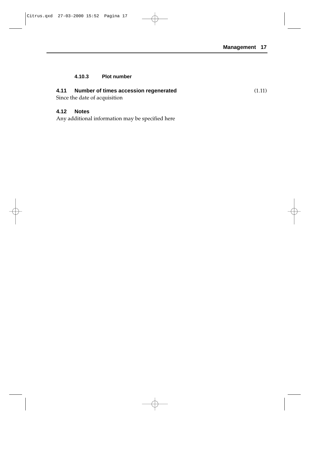## **4.10.3 Plot number**

## **4.11 Number of times accession regenerated** (1.11)

Since the date of acquisition

### **4.12 Notes**

Any additional information may be specified here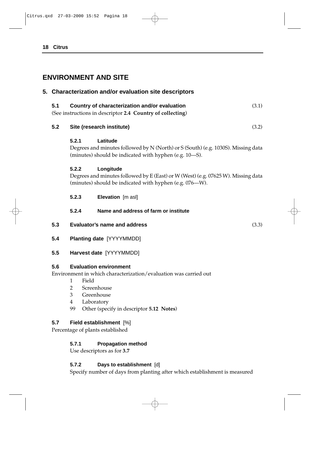# **ENVIRONMENT AND SITE**

## **5. Characterization and/or evaluation site descriptors**

| 5.1 | Country of characterization and/or evaluation              | (3.1) |
|-----|------------------------------------------------------------|-------|
|     | (See instructions in descriptor 2.4 Country of collecting) |       |

#### **5.2 Site (research institute)** (3.2)

### **5.2.1 Latitude**

Degrees and minutes followed by N (North) or S (South) (e.g. 1030S). Missing data (minutes) should be indicated with hyphen (e.g. 10—S).

### **5.2.2 Longitude**

Degrees and minutes followed by E (East) or W (West) (e.g. 07625 W). Missing data (minutes) should be indicated with hyphen (e.g. 076—W).

**5.2.3 Elevation** [m asl]

### **5.2.4 Name and address of farm or institute**

- **5.3 Evaluator's name and address** (3.3)
- **5.4 Planting date** [YYYYMMDD]

### **5.5 Harvest date** [YYYYMMDD]

### **5.6 Evaluation environment**

Environment in which characterization/evaluation was carried out

- 1 Field
- 2 Screenhouse
- 3 Greenhouse
- 4 Laboratory
- 99 Other (specify in descriptor **5.12 Notes**)

### **5.7 Field establishment** [%]

Percentage of plants established

### **5.7.1 Propagation method**

Use descriptors as for **3.7**

### **5.7.2 Days to establishment** [d]

Specify number of days from planting after which establishment is measured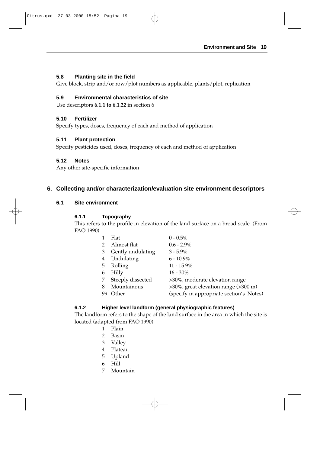## **5.8 Planting site in the field**

Give block, strip and/or row/plot numbers as applicable, plants/plot, replication

## **5.9 Environmental characteristics of site**

Use descriptors **6.1.1 to 6.1.22** in section 6

## **5.10 Fertilizer**

Specify types, doses, frequency of each and method of application

## **5.11 Plant protection**

Specify pesticides used, doses, frequency of each and method of application

## **5.12 Notes**

Any other site-specific information

## **6. Collecting and/or characterization/evaluation site environment descriptors**

### **6.1 Site environment**

### **6.1.1 Topography**

This refers to the profile in elevation of the land surface on a broad scale. (From FAO 1990)

|   | Flat              | $0 - 0.5\%$                              |
|---|-------------------|------------------------------------------|
| 2 | Almost flat       | $0.6 - 2.9\%$                            |
| 3 | Gently undulating | $3 - 5.9\%$                              |
| 4 | Undulating        | $6 - 10.9\%$                             |
| 5 | Rolling           | $11 - 15.9\%$                            |
| 6 | Hilly             | $16 - 30\%$                              |
|   | Steeply dissected | >30%, moderate elevation range           |
| 8 | Mountainous       | >30%, great elevation range (>300 m)     |
|   | Other             | (specify in appropriate section's Notes) |

### **6.1.2 Higher level landform (general physiographic features)**

The landform refers to the shape of the land surface in the area in which the site is located (adapted from FAO 1990)

- 1 Plain
- 2 Basin
- 3 Valley
- 4 Plateau
- 5 Upland
- 6 Hill
- 7 Mountain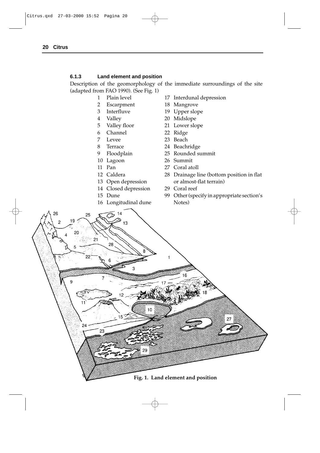#### **6.1.3 Land element and position**

Description of the geomorphology of the immediate surroundings of the site (adapted from FAO 1990). (See Fig. 1)

- 
- 2 Escarpment 18 Mangrove
- 
- 
- 
- 6 Channel 22 Ridge
- 7 Levee 23 Beach
- 
- 
- 
- 
- 
- 
- 14 Closed depression 29 Coral reef
- 
- 16 Longitudinal dune Notes)
- 1 Plain level 17 Interdunal depression
	-
- 3 Interfluve 19 Upper slope
- 4 Valley 20 Midslope
- 5 Valley floor 21 Lower slope
	-
	-
- 8 Terrace 24 Beachridge
- 9 Floodplain 25 Rounded summit
- 10 Lagoon 26 Summit
- 11 Pan 27 Coral atoll
- 12 Caldera 28 Drainage line (bottom position in flat 13 Open depression or almost-flat terrain)
	-
- 15 Dune 99 Other (specify in appropriate section's

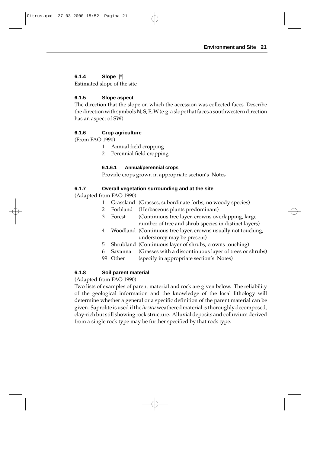## **6.1.4 Slope** [º]

Estimated slope of the site

## **6.1.5 Slope aspect**

The direction that the slope on which the accession was collected faces. Describe the direction with symbols N, S, E, W (e.g. a slope that faces a southwestern direction has an aspect of SW)

## **6.1.6 Crop agriculture**

(From FAO 1990)

- 1 Annual field cropping
- 2 Perennial field cropping

## **6.1.6.1 Annual/perennial crops**

Provide crops grown in appropriate section's Notes

## **6.1.7 Overall vegetation surrounding and at the site**

(Adapted from FAO 1990)

- 1 Grassland (Grasses, subordinate forbs, no woody species)
- 2 Forbland (Herbaceous plants predominant)
- 3 Forest (Continuous tree layer, crowns overlapping, large number of tree and shrub species in distinct layers)
- 4 Woodland (Continuous tree layer, crowns usually not touching, understorey may be present)
- 5 Shrubland (Continuous layer of shrubs, crowns touching)
- 6 Savanna (Grasses with a discontinuous layer of trees or shrubs)
- 99 Other (specify in appropriate section's Notes)

## **6.1.8 Soil parent material**

### (Adapted from FAO 1990)

Two lists of examples of parent material and rock are given below. The reliability of the geological information and the knowledge of the local lithology will determine whether a general or a specific definition of the parent material can be given. Saprolite is used if the *in situ* weathered material is thoroughly decomposed, clay-rich but still showing rock structure. Alluvial deposits and colluvium derived from a single rock type may be further specified by that rock type.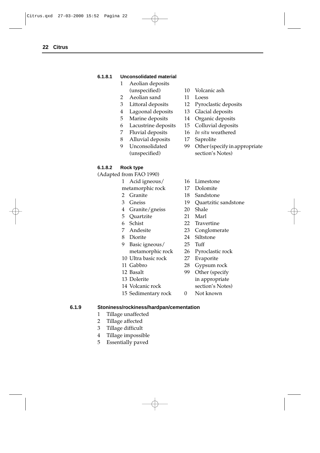#### **6.1.8.1 Unconsolidated material**

- 1 Aeolian deposits
- 2 Aeolian sand 11 Loess
- 
- 4 Lagoonal deposits 13 Glacial deposits
- 5 Marine deposits 14 Organic deposits
- 6 Lacustrine deposits 15 Colluvial deposits
- 
- 8 Alluvial deposits 17 Saprolite
- 

## **6.1.8.2 Rock type**

(Adapted from FAO 1990)

- 1 Acid igneous/ 16 Limestone
- metamorphic rock 17 Dolomite
- 
- 
- 4 Granite/gneiss 20 Shale
- 5 Quartzite 21 Marl
- 
- 
- 
- 9 Basic igneous/ 25 Tuff
- 
- 
- 
- 
- 13 Dolerite in appropriate
- 14 Volcanic rock section's Notes)
- 15 Sedimentary rock 0 Not known
- (unspecified) 10 Volcanic ash
	-
- 3 Littoral deposits 12 Pyroclastic deposits
	-
	-
	-
- 7 Fluvial deposits 16 *In situ* weathered
	-
- 9 Unconsolidated 99 Other (specify in appropriate (unspecified) section's Notes)
	-
	-
- 2 Granite 18 Sandstone
- 3 Gneiss 19 Quartzitic sandstone
	-
	-
- 6 Schist 22 Travertine
- 7 Andesite 23 Conglomerate
- 8 Diorite 24 Siltstone
	-
	- metamorphic rock 26 Pyroclastic rock
- 10 Ultra basic rock 27 Evaporite
- 11 Gabbro 28 Gypsum rock
- 12 Basalt 99 Other (specify
	-
	-

### **6.1.9 Stoniness/rockiness/hardpan/cementation**

- 1 Tillage unaffected
- 2 Tillage affected
- 3 Tillage difficult
- 4 Tillage impossible
- 5 Essentially paved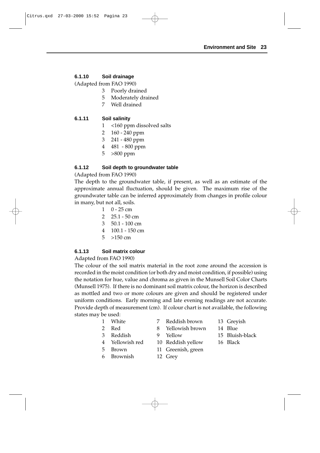## **6.1.10 Soil drainage**

(Adapted from FAO 1990)

- 3 Poorly drained
- 5 Moderately drained
- 7 Well drained

## **6.1.11 Soil salinity**

- 1 <160 ppm dissolved salts
- 2 160 240 ppm
- 3 241 480 ppm
- 4 481 800 ppm
- 5 >800 ppm

## **6.1.12 Soil depth to groundwater table**

(Adapted from FAO 1990)

The depth to the groundwater table, if present, as well as an estimate of the approximate annual fluctuation, should be given. The maximum rise of the groundwater table can be inferred approximately from changes in profile colour in many, but not all, soils.

- $1 \quad 0 25$  cm
- 2 25.1 50 cm
- 3 50.1 100 cm
- 4 100.1 150 cm
- 5 >150 cm

### **6.1.13 Soil matrix colour**

Adapted from FAO 1990)

The colour of the soil matrix material in the root zone around the accession is recorded in the moist condition (or both dry and moist condition, if possible) using the notation for hue, value and chroma as given in the Munsell Soil Color Charts (Munsell 1975). If there is no dominant soil matrix colour, the horizon is described as mottled and two or more colours are given and should be registered under uniform conditions. Early morning and late evening readings are not accurate. Provide depth of measurement (cm). If colour chart is not available, the following states may be used:

|               | 1 White         | 7 Reddish brown    | 13 Greyish      |
|---------------|-----------------|--------------------|-----------------|
| $\mathcal{P}$ | Red             | 8 Yellowish brown  | 14 Blue         |
|               | 3 Reddish       | 9 Yellow           | 15 Bluish-black |
|               | 4 Yellowish red | 10 Reddish yellow  | 16 Black        |
|               | 5 Brown         | 11 Greenish, green |                 |
|               | 6 Brownish      | 12 Grey            |                 |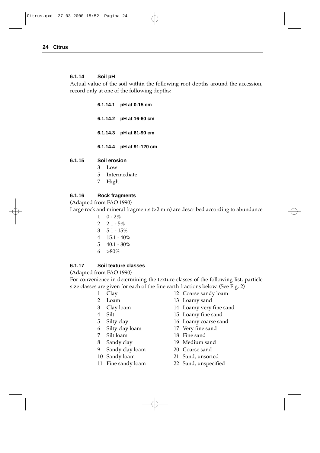#### **6.1.14 Soil pH**

Actual value of the soil within the following root depths around the accession, record only at one of the following depths:

| 6.1.14.1 pH at 0-15 cm   |
|--------------------------|
| 6.1.14.2 pH at 16-60 cm  |
| 6.1.14.3 pH at 61-90 cm  |
| 6.1.14.4 pH at 91-120 cm |

#### **6.1.15 Soil erosion**

- 3 Low
- 5 Intermediate
- 7 High

#### **6.1.16 Rock fragments**

#### (Adapted from FAO 1990)

Large rock and mineral fragments (>2 mm) are described according to abundance

- $1 \quad 0 2\%$
- $2 \quad 2.1 5\%$
- $3\quad 5.1 15\%$
- 4 15.1 40%
- 5 40.1 80%
- 6  $>80\%$

#### **6.1.17 Soil texture classes**

#### (Adapted from FAO 1990)

For convenience in determining the texture classes of the following list, particle size classes are given for each of the fine earth fractions below. (See Fig. 2)

- 
- 
- 
- 
- 
- 
- 
- 
- 9 Sandy clay loam 20 Coarse sand
- 
- 
- 1 Clay 12 Coarse sandy loam
- 2 Loam 13 Loamy sand
- 3 Clay loam 14 Loamy very fine sand
- 4 Silt 15 Loamy fine sand
- 5 Silty clay 16 Loamy coarse sand
- 6 Silty clay loam 17 Very fine sand
- 7 Silt loam 18 Fine sand
- 8 Sandy clay 19 Medium sand
	-
- 10 Sandy loam 21 Sand, unsorted
- 11 Fine sandy loam 22 Sand, unspecified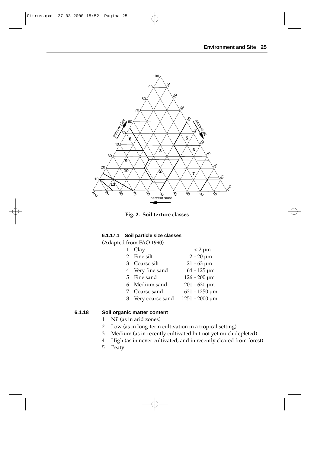

**Fig. 2. Soil texture classes**

#### **6.1.17.1 Soil particle size classes**

(Adapted from FAO 1990)

| $\mathbf{1}$ | Clay             | $< 2 \mu m$                     |
|--------------|------------------|---------------------------------|
|              | 2 Fine silt      | $2 - 20 \mu m$                  |
|              | 3 Coarse silt    | $21 - 63 \,\mathrm{\upmu m}$    |
|              | 4 Very fine sand | $64 - 125 \,\mathrm{\upmu m}$   |
|              | 5 Fine sand      | $126 - 200 \,\mathrm{\upmu m}$  |
|              | 6 Medium sand    | $201 - 630 \,\mathrm{\upmu m}$  |
|              | 7 Coarse sand    | $631 - 1250 \,\mathrm{\upmu m}$ |
|              | Very coarse sand | 1251 - 2000 µm                  |
|              |                  |                                 |

#### **6.1.18 Soil organic matter content**

- 1 Nil (as in arid zones)
- 2 Low (as in long-term cultivation in a tropical setting)
- 3 Medium (as in recently cultivated but not yet much depleted)
- 4 High (as in never cultivated, and in recently cleared from forest)
- 5 Peaty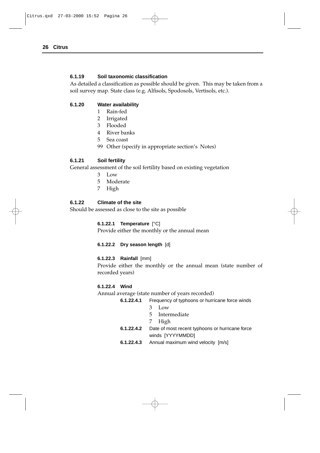#### **6.1.19 Soil taxonomic classification**

As detailed a classification as possible should be given. This may be taken from a soil survey map. State class (e.g. Alfisols, Spodosols, Vertisols, etc.).

#### **6.1.20 Water availability**

- 1 Rain-fed
- 2 Irrigated
- 3 Flooded
- 4 River banks
- 5 Sea coast
- 99 Other (specify in appropriate section's Notes)

### **6.1.21 Soil fertility**

General assessment of the soil fertility based on existing vegetation

- 3 Low
- 5 Moderate
- 7 High

### **6.1.22 Climate of the site**

Should be assessed as close to the site as possible

### **6.1.22.1 Temperature** [°C]

Provide either the monthly or the annual mean

### **6.1.22.2 Dry season length** [d]

#### **6.1.22.3 Rainfall** [mm]

Provide either the monthly or the annual mean (state number of recorded years)

### **6.1.22.4 Wind**

Annual average (state number of years recorded)

- **6.1.22.4.1** Frequency of typhoons or hurricane force winds
	- 3 Low
		- 5 Intermediate
	- 7 High
- **6.1.22.4.2** Date of most recent typhoons or hurricane force winds [YYYYMMDD]
- **6.1.22.4.3** Annual maximum wind velocity [m/s]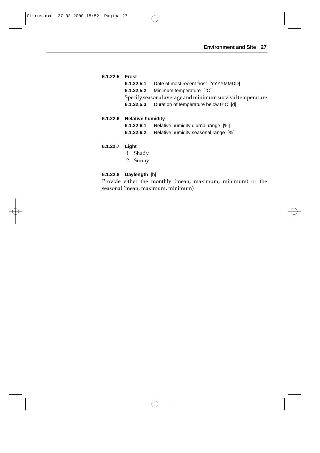| 6.1.22.5 Frost |                                                           |
|----------------|-----------------------------------------------------------|
|                | <b>6.1.22.5.1</b> Date of most recent frost [YYYYMMDD]    |
|                | 6.1.22.5.2 Minimum temperature [°C]                       |
|                | Specify seasonal average and minimum survival temperature |
|                | 6.1.22.5.3 Duration of temperature below 0°C [d]          |
|                |                                                           |

## **6.1.22.6 Relative humidity**

**6.1.22.6.1** Relative humidity diurnal range [%] **6.1.22.6.2** Relative humidity seasonal range [%]

#### **6.1.22.7 Light**

- 1 Shady
- 2 Sunny

## **6.1.22.8 Daylength** [h]

Provide either the monthly (mean, maximum, minimum) or the seasonal (mean, maximum, minimum)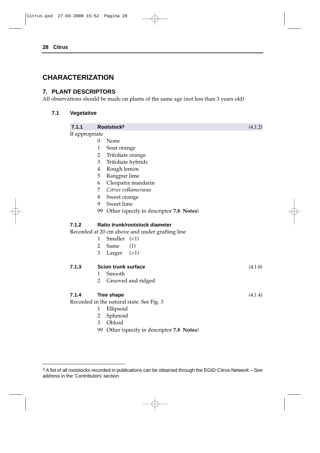# **CHARACTERIZATION**

## **7. PLANT DESCRIPTORS**

All observations should be made on plants of the same age (not less than 3 years old)

## **7.1 Vegetative**

| 7.1.1          | Rootstock <sup>3</sup>                          | (4.1.2) |  |  |  |  |
|----------------|-------------------------------------------------|---------|--|--|--|--|
| If appropriate |                                                 |         |  |  |  |  |
|                | None<br>0                                       |         |  |  |  |  |
|                | 1<br>Sour orange                                |         |  |  |  |  |
|                | Trifoliate orange<br>2                          |         |  |  |  |  |
|                | 3<br>Trifoliate hybrids                         |         |  |  |  |  |
|                | Rough lemon<br>4                                |         |  |  |  |  |
|                | 5<br>Rangpur lime                               |         |  |  |  |  |
|                | Cleopatra mandarin<br>6                         |         |  |  |  |  |
|                | Citrus volkameriana<br>7                        |         |  |  |  |  |
|                | 8<br>Sweet orange                               |         |  |  |  |  |
|                | 9<br>Sweet lime                                 |         |  |  |  |  |
|                | 99 Other (specify in descriptor 7.8 Notes)      |         |  |  |  |  |
| 7.1.2          | Ratio trunk/rootstock diameter                  |         |  |  |  |  |
|                | Recorded at 20 cm above and under grafting line |         |  |  |  |  |
|                | Smaller $(\leq 1)$<br>1                         |         |  |  |  |  |
|                | (1)<br>2<br>Same                                |         |  |  |  |  |
|                | 3<br>Larger $(>1)$                              |         |  |  |  |  |
| 7.1.3          | <b>Scion trunk surface</b>                      | (4.1.8) |  |  |  |  |
|                | Smooth<br>1                                     |         |  |  |  |  |
|                | $\overline{2}$<br>Grooved and ridged            |         |  |  |  |  |
| 7.1.4          | <b>Tree shape</b>                               | (4.1.4) |  |  |  |  |
|                | Recorded in the natural state. See Fig. 3       |         |  |  |  |  |
|                | Ellipsoid<br>1                                  |         |  |  |  |  |
|                | Spheroid<br>2                                   |         |  |  |  |  |
|                | Obloid<br>3                                     |         |  |  |  |  |
|                | Other (specify in descriptor 7.8 Notes)<br>99   |         |  |  |  |  |
|                |                                                 |         |  |  |  |  |

<sup>3</sup> A list of all rootstocks recorded in publications can be obtained through the EGID-Citrus Network – See address in the 'Contributors' section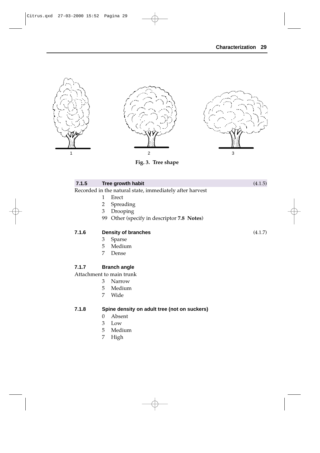

**Fig. 3. Tree shape**

| 7.1.5 |                                              | Tree growth habit                                        | (4.1.5) |  |  |
|-------|----------------------------------------------|----------------------------------------------------------|---------|--|--|
|       |                                              | Recorded in the natural state, immediately after harvest |         |  |  |
|       | 1                                            | Erect                                                    |         |  |  |
|       | 2                                            | Spreading                                                |         |  |  |
|       | 3                                            | Drooping                                                 |         |  |  |
|       | 99                                           | Other (specify in descriptor 7.8 Notes)                  |         |  |  |
| 7.1.6 | <b>Density of branches</b>                   |                                                          | (4.1.7) |  |  |
|       | 3                                            | Sparse                                                   |         |  |  |
|       | 5                                            | Medium                                                   |         |  |  |
|       | 7                                            | Dense                                                    |         |  |  |
| 7.1.7 |                                              | <b>Branch angle</b>                                      |         |  |  |
|       |                                              | Attachment to main trunk                                 |         |  |  |
|       | 3                                            | Narrow                                                   |         |  |  |
|       | 5                                            | Medium                                                   |         |  |  |
|       | 7                                            | Wide                                                     |         |  |  |
| 7.1.8 | Spine density on adult tree (not on suckers) |                                                          |         |  |  |
|       | $\Omega$                                     | Absent                                                   |         |  |  |
|       | 3                                            | Low                                                      |         |  |  |
|       | 5                                            | Medium                                                   |         |  |  |
|       | 7                                            | $\mathbf{H}$ iah                                         |         |  |  |

High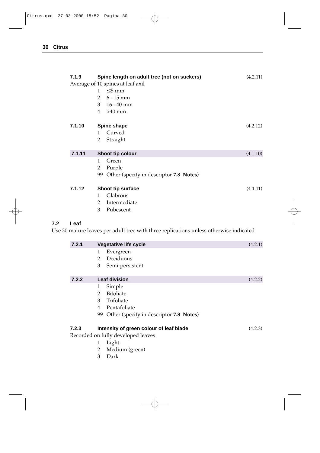| 7.1.9  | Spine length on adult tree (not on suckers)<br>Average of 10 spines at leaf axil<br>$1 \leq 5$ mm<br>2 $6 - 15$ mm<br>3 $16 - 40$ mm<br>$4 > 40$ mm | (4.2.11) |
|--------|-----------------------------------------------------------------------------------------------------------------------------------------------------|----------|
| 7.1.10 | Spine shape<br>Curved<br>1<br>Straight<br>2                                                                                                         | (4.2.12) |
| 7.1.11 | Shoot tip colour<br>Green<br>1<br>Purple<br>2<br>Other (specify in descriptor 7.8 Notes)<br>99                                                      | (4.1.10) |
| 7.1.12 | Shoot tip surface<br>Glabrous<br>1<br>Intermediate<br>2<br>3<br>Pubescent                                                                           | (4.1.11) |

## **7.2 Leaf**

Use 30 mature leaves per adult tree with three replications unless otherwise indicated

| 7.2.1 |               | <b>Vegetative life cycle</b>            | (4.2.1) |
|-------|---------------|-----------------------------------------|---------|
|       | 1             | Evergreen                               |         |
|       | 2             | Deciduous                               |         |
|       | 3             | Semi-persistent                         |         |
| 7.2.2 |               | <b>Leaf division</b>                    | (4.2.2) |
|       | 1             | Simple                                  |         |
|       | $\mathcal{L}$ | <b>Bifoliate</b>                        |         |
|       | 3             | Trifoliate                              |         |
|       | 4             | Pentafoliate                            |         |
|       | 99            | Other (specify in descriptor 7.8 Notes) |         |
| 7.2.3 |               | Intensity of green colour of leaf blade | (4.2.3) |
|       |               | Recorded on fully developed leaves      |         |
|       | 1             | Light                                   |         |
|       | 2             | Medium (green)                          |         |
|       | 3             | Dark                                    |         |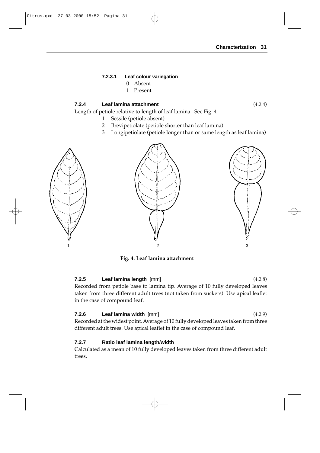#### **7.2.3.1 Leaf colour variegation**

- 0 Absent
- 1 Present

#### **7.2.4 Leaf lamina attachment** (4.2.4)

Length of petiole relative to length of leaf lamina. See Fig. 4

- 1 Sessile (petiole absent)
- 2 Brevipetiolate (petiole shorter than leaf lamina)
- 3 Longipetiolate (petiole longer than or same length as leaf lamina)





**Fig. 4. Leaf lamina attachment**

#### **7.2.5 Leaf lamina length** [mm] (4.2.8)

Recorded from petiole base to lamina tip. Average of 10 fully developed leaves taken from three different adult trees (not taken from suckers). Use apical leaflet in the case of compound leaf.

#### **7.2.6 Leaf lamina width** [mm] (4.2.9)

Recorded at the widest point. Average of 10 fully developed leaves taken from three different adult trees. Use apical leaflet in the case of compound leaf.

#### **7.2.7 Ratio leaf lamina length/width**

Calculated as a mean of 10 fully developed leaves taken from three different adult trees.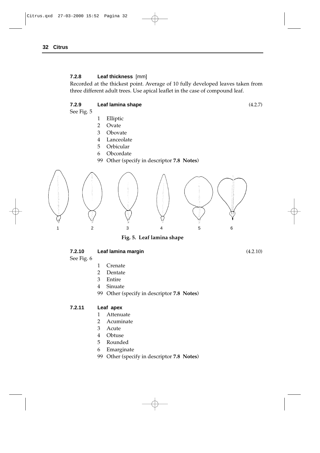#### **7.2.8 Leaf thickness** [mm]

Recorded at the thickest point. Average of 10 fully developed leaves taken from three different adult trees. Use apical leaflet in the case of compound leaf.

#### **7.2.9 Leaf lamina shape** (4.2.7)

See Fig. 5

- 1 Elliptic
- 2 Ovate
- 3 Obovate
- 4 Lanceolate
- 5 Orbicular
- 6 Obcordate
- 99 Other (specify in descriptor **7.8 Notes**)



**Fig. 5. Leaf lamina shape**

| 7.2.10 | Leaf lamina margin | (4.2.10) |
|--------|--------------------|----------|
|--------|--------------------|----------|

See Fig. 6

- 1 Crenate
- 2 Dentate
- 3 Entire
- 4 Sinuate
- 99 Other (specify in descriptor **7.8 Notes**)

#### **7.2.11 Leaf apex**

- 1 Attenuate
- 2 Acuminate
- 3 Acute
- 4 Obtuse
- 5 Rounded
- 6 Emarginate
- 99 Other (specify in descriptor **7.8 Notes**)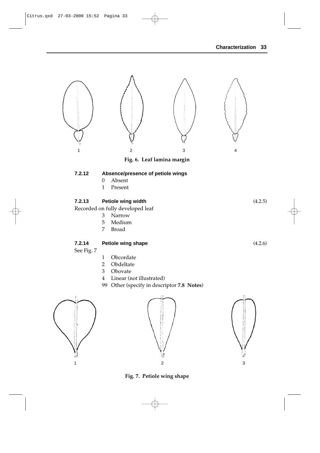

**Fig. 7. Petiole wing shape**

1  $\overline{2}$  3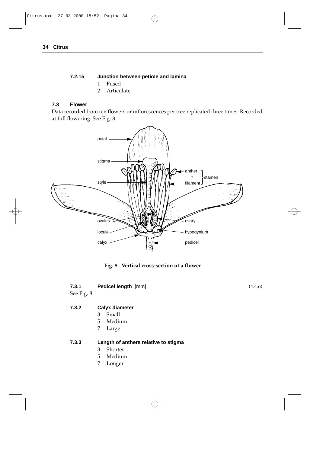#### **7.2.15 Junction between petiole and lamina**

- 1 Fused
- 2 Articulate

#### **7.3 Flower**

Data recorded from ten flowers or inflorescences per tree replicated three times. Recorded at full flowering. See Fig. 8



**Fig. 8. Vertical cross-section of a flower**

#### **7.3.1 Pedicel length** [mm] (4.4.6)

See Fig. 8

#### **7.3.2 Calyx diameter**

- 3 Small
- 5 Medium
- 7 Large

#### **7.3.3 Length of anthers relative to stigma**

- 3 Shorter
- 5 Medium
- 7 Longer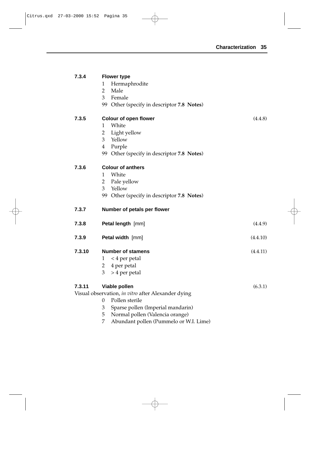| 7.3.4  | <b>Flower type</b>                                                                  |          |
|--------|-------------------------------------------------------------------------------------|----------|
|        | Hermaphrodite<br>1                                                                  |          |
|        | $\overline{2}$<br>Male                                                              |          |
|        | 3<br>Female                                                                         |          |
|        | 99 Other (specify in descriptor 7.8 Notes)                                          |          |
| 7.3.5  | <b>Colour of open flower</b>                                                        | (4.4.8)  |
|        | White<br>1                                                                          |          |
|        | $\overline{2}$<br>Light yellow                                                      |          |
|        | 3<br>Yellow                                                                         |          |
|        | 4<br>Purple                                                                         |          |
|        | 99 Other (specify in descriptor 7.8 Notes)                                          |          |
| 7.3.6  | <b>Colour of anthers</b>                                                            |          |
|        | White<br>1                                                                          |          |
|        | $\overline{2}$<br>Pale yellow                                                       |          |
|        | Yellow<br>3                                                                         |          |
|        | 99 Other (specify in descriptor 7.8 Notes)                                          |          |
| 7.3.7  | Number of petals per flower                                                         |          |
|        |                                                                                     |          |
| 7.3.8  | Petal length [mm]                                                                   | (4.4.9)  |
| 7.3.9  | Petal width [mm]                                                                    | (4.4.10) |
| 7.3.10 | <b>Number of stamens</b>                                                            | (4.4.11) |
|        | < 4 per petal<br>1                                                                  |          |
|        | $\overline{2}$<br>4 per petal                                                       |          |
|        | > 4 per petal<br>3                                                                  |          |
| 7.3.11 | Viable pollen                                                                       | (6.3.1)  |
|        | Visual observation, in vitro after Alexander dying                                  |          |
|        | Pollen sterile<br>0                                                                 |          |
|        | Sparse pollen (Imperial mandarin)<br>3                                              |          |
|        | Normal pollen (Valencia orange)<br>5<br>7<br>Abundant pollen (Pummelo or W.I. Lime) |          |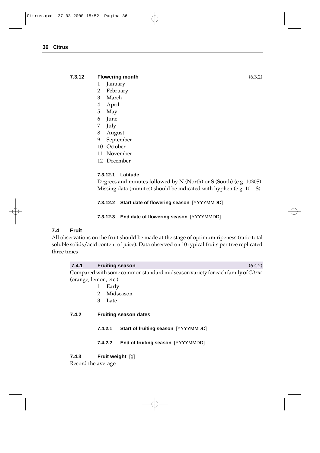#### **7.3.12 Flowering month** (6.3.2)

1 January

- 2 February
- 3 March
- 4 April
- 5 May
- 6 June
- 7 July
- 8 August
- 9 September
- 10 October
- 11 November
- 12 December

#### **7.3.12.1 Latitude**

Degrees and minutes followed by N (North) or S (South) (e.g. 1030S). Missing data (minutes) should be indicated with hyphen (e.g. 10—S).

**7.3.12.2 Start date of flowering season** [YYYYMMDD]

#### **7.3.12.3 End date of flowering season** [YYYYMMDD]

#### **7.4 Fruit**

All observations on the fruit should be made at the stage of optimum ripeness (ratio total soluble solids/acid content of juice). Data observed on 10 typical fruits per tree replicated three times

# **7.4.1 Fruiting season** (6.4.2)

Compared with some common standard midseason variety for each family of *Citrus* (orange, lemon, etc.)

- 1 Early
- 2 Midseason
- 3 Late

#### **7.4.2 Fruiting season dates**

- **7.4.2.1 Start of fruiting season** [YYYYMMDD]
- **7.4.2.2 End of fruiting season** [YYYYMMDD]

**7.4.3 Fruit weight** [g]

Record the average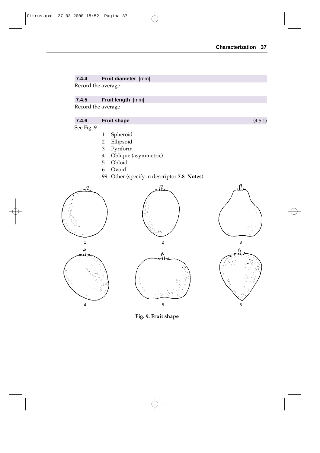#### **7.4.4 Fruit diameter** [mm]

Record the average

### **7.4.5 Fruit length** [mm]

Record the average

## **7.4.6 Fruit shape** (4.5.1)

See Fig. 9

- 
- 1 Spheroid Ellipsoid
- 3 Pyriform
- 4 Oblique (asymmetric)
- 5 Obloid
- 6 Ovoid
- 99 Other (specify in descriptor **7.8 Notes**)













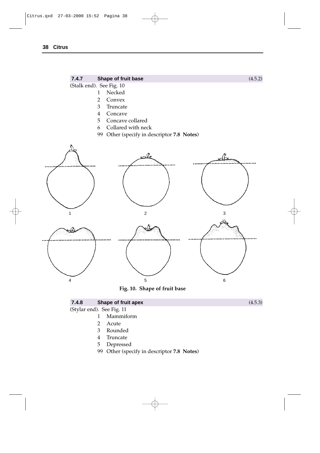

| 7.4.8                     | Shape of fruit apex       | (4.5.3) |
|---------------------------|---------------------------|---------|
| (Stylar end). See Fig. 11 |                           |         |
|                           | Mammiform<br>$\mathbf{1}$ |         |
|                           | 2 Acute                   |         |
|                           | Rounded<br>3              |         |
|                           | Truncate                  |         |

- 5 Depressed
- 99 Other (specify in descriptor **7.8 Notes**)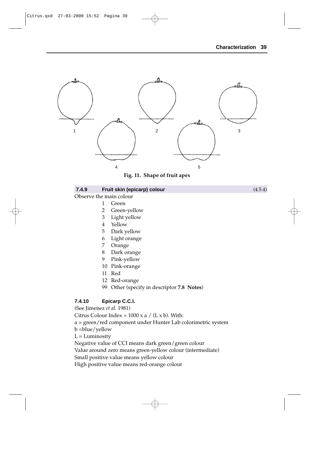



#### **7.4.9 Fruit skin (epicarp) colour** (4.5.4)

Observe the main colour

- 1 Green
- 2 Green-yellow
- 3 Light yellow
- 4 Yellow
- 5 Dark yellow
- 6 Light orange
- 7 Orange
- 8 Dark orange
- 9 Pink-yellow
- 10 Pink-orange
- 11 Red
- 12 Red-orange
- 99 Other (specify in descriptor **7.8 Notes**)

#### **7.4.10 Epicarp C.C.I.**

(See Jimenez *et al.* 1981)

Citrus Colour Index =  $1000 \times a / (L \times b)$ . With:

- a = green/red component under Hunter Lab colorimetric system
- b =blue/yellow
- $L =$ Luminosity

Negative value of CCI means dark green/green colour

Value around zero means green-yellow colour (intermediate)

Small positive value means yellow colour

High positive value means red-orange colour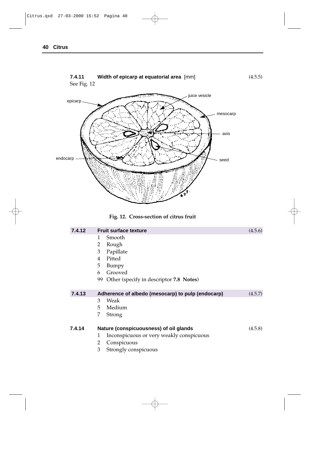





| 7.4.12 | <b>Fruit surface texture</b>                      | (4.5.6) |
|--------|---------------------------------------------------|---------|
|        | Smooth<br>1                                       |         |
|        | 2<br>Rough                                        |         |
|        | 3<br>Papillate                                    |         |
|        | Pitted<br>4                                       |         |
|        | 5<br>Bumpy                                        |         |
|        | Grooved<br>6                                      |         |
|        | 99<br>Other (specify in descriptor 7.8 Notes)     |         |
|        |                                                   |         |
| 7.4.13 | Adherence of albedo (mesocarp) to pulp (endocarp) | (4.5.7) |
|        | Weak<br>3                                         |         |
|        | 5<br>Medium                                       |         |
|        | 7<br>Strong                                       |         |
| 7.4.14 | Nature (conspicuousness) of oil glands            | (4.5.8) |
|        | Inconspicuous or very weakly conspicuous<br>1     |         |
|        | 2<br>Conspicuous                                  |         |
|        | 3<br>Strongly conspicuous                         |         |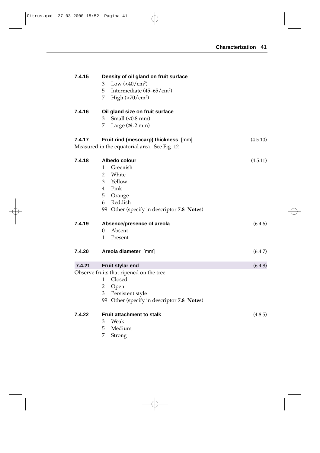| 7.4.15 | Density of oil gland on fruit surface<br>Low $(<\!\!40/cm^2$ )<br>3<br>5<br>Intermediate $(45-65/cm2)$<br>7.<br>High $(>70/cm2)$                                                           |          |
|--------|--------------------------------------------------------------------------------------------------------------------------------------------------------------------------------------------|----------|
| 7.4.16 | Oil gland size on fruit surface<br>Small $(0.8 \text{ mm})$<br>3<br>7<br>Large $(≥1.2$ mm)                                                                                                 |          |
| 7.4.17 | Fruit rind (mesocarp) thickness [mm]<br>Measured in the equatorial area. See Fig. 12                                                                                                       | (4.5.10) |
| 7.4.18 | Albedo colour<br>Greenish<br>$\mathbf{1}$<br>$\overline{2}$<br>White<br>3<br>Yellow<br>Pink<br>$\overline{4}$<br>5<br>Orange<br>Reddish<br>6<br>99 Other (specify in descriptor 7.8 Notes) | (4.5.11) |
| 7.4.19 | Absence/presence of areola<br>Absent<br>$\theta$<br>1<br>Present                                                                                                                           | (6.4.6)  |
| 7.4.20 | Areola diameter [mm]                                                                                                                                                                       | (6.4.7)  |
| 7.4.21 | Fruit stylar end<br>Observe fruits that ripened on the tree<br>Closed<br>$\mathbf{1}$<br>$\overline{2}$<br>Open<br>Persistent style<br>3<br>99 Other (specify in descriptor 7.8 Notes)     | (6.4.8)  |
| 7.4.22 | <b>Fruit attachment to stalk</b><br>3<br>Weak<br>5<br>Medium<br>7<br>Strong                                                                                                                | (4.8.5)  |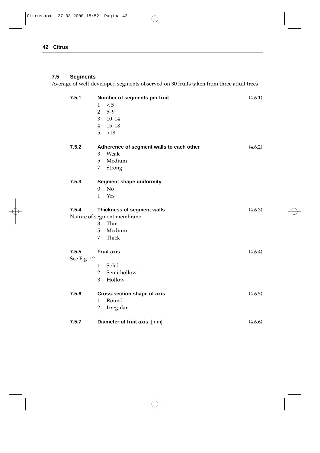## **7.5 Segments**

Average of well-developed segments observed on 30 fruits taken from three adult trees

| 7.5.1       | Number of segments per fruit<br>< 5<br>1<br>$5 - 9$<br>$\overline{2}$<br>3<br>$10 - 14$<br>$4$ 15-18<br>5<br>>18 | (4.6.1) |
|-------------|------------------------------------------------------------------------------------------------------------------|---------|
| 7.5.2       | Adherence of segment walls to each other<br>Weak<br>3                                                            | (4.6.2) |
|             | Medium<br>5                                                                                                      |         |
|             | 7<br>Strong                                                                                                      |         |
| 7.5.3       | <b>Segment shape uniformity</b>                                                                                  |         |
|             | N <sub>o</sub><br>$\overline{0}$                                                                                 |         |
|             | Yes<br>1                                                                                                         |         |
| 7.5.4       | Thickness of segment walls                                                                                       | (4.6.3) |
|             | Nature of segment membrane                                                                                       |         |
|             | 3 Thin                                                                                                           |         |
|             | 5 Medium                                                                                                         |         |
|             | Thick<br>7                                                                                                       |         |
| 7.5.5       | <b>Fruit axis</b>                                                                                                | (4.6.4) |
| See Fig. 12 |                                                                                                                  |         |
|             | Solid<br>$\mathbf{1}$                                                                                            |         |
|             | Semi-hollow<br>$\overline{2}$                                                                                    |         |
|             | 3<br>Hollow                                                                                                      |         |
| 7.5.6       | <b>Cross-section shape of axis</b>                                                                               | (4.6.5) |
|             | Round<br>1                                                                                                       |         |
|             | Irregular<br>$\overline{2}$                                                                                      |         |
| 7.5.7       | Diameter of fruit axis [mm]                                                                                      | (4.6.6) |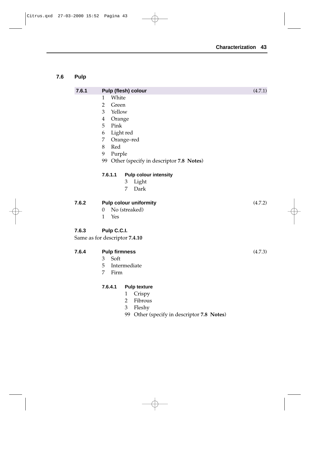## **7.6 Pulp**

| 7.6.1 | Pulp (flesh) colour                           | (4.7.1) |
|-------|-----------------------------------------------|---------|
|       | White<br>1                                    |         |
|       | $\overline{2}$<br>Green                       |         |
|       | $\overline{3}$<br>Yellow                      |         |
|       | $\overline{4}$<br>Orange                      |         |
|       | 5<br>Pink                                     |         |
|       | Light red<br>6                                |         |
|       | 7<br>Orange-red                               |         |
|       | 8<br>Red                                      |         |
|       | 9<br>Purple                                   |         |
|       | 99 Other (specify in descriptor 7.8 Notes)    |         |
|       | 7.6.1.1<br><b>Pulp colour intensity</b>       |         |
|       | Light<br>3                                    |         |
|       | 7<br>Dark                                     |         |
|       |                                               |         |
| 7.6.2 | <b>Pulp colour uniformity</b>                 | (4.7.2) |
|       | No (streaked)<br>$\theta$                     |         |
|       | $\mathbf{1}$<br>Yes                           |         |
| 7.6.3 | Pulp C.C.I.                                   |         |
|       | Same as for descriptor 7.4.10                 |         |
|       |                                               |         |
| 7.6.4 | <b>Pulp firmness</b>                          | (4.7.3) |
|       | Soft<br>3                                     |         |
|       | 5<br>Intermediate                             |         |
|       | 7<br>Firm                                     |         |
|       | 7.6.4.1<br><b>Pulp texture</b>                |         |
|       | Crispy<br>$\mathbf{1}$                        |         |
|       | $\overline{2}$<br>Fibrous                     |         |
|       | 3<br>Fleshy                                   |         |
|       | 99<br>Other (specify in descriptor 7.8 Notes) |         |
|       |                                               |         |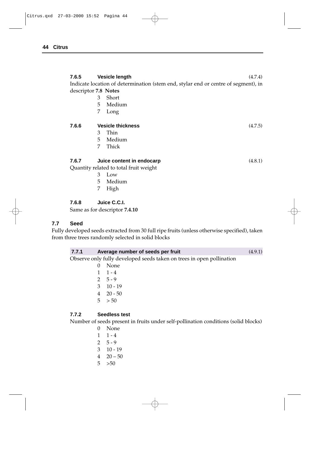| 7.6.5<br>descriptor 7.8 Notes | 3<br>5 | <b>Vesicle length</b><br>Indicate location of determination (stem end, stylar end or centre of segment), in<br>Short<br>Medium | (4.7.4) |
|-------------------------------|--------|--------------------------------------------------------------------------------------------------------------------------------|---------|
|                               | 7      | Long                                                                                                                           |         |
| 7.6.6                         |        | <b>Vesicle thickness</b>                                                                                                       | (4.7.5) |
|                               | 3      | Thin                                                                                                                           |         |
|                               | 5      | Medium                                                                                                                         |         |
|                               | 7      | Thick                                                                                                                          |         |
| 7.6.7                         |        | Juice content in endocarp                                                                                                      | (4.8.1) |
|                               |        | Quantity related to total fruit weight                                                                                         |         |
|                               | 3      | Low                                                                                                                            |         |
|                               | 5      | Medium                                                                                                                         |         |
|                               | 7      | High                                                                                                                           |         |
| 7.6.8                         |        | Juice C.C.I.                                                                                                                   |         |

Same as for descriptor **7.4.10**

#### **7.7 Seed**

Fully developed seeds extracted from 30 full ripe fruits (unless otherwise specified), taken from three trees randomly selected in solid blocks

| 7.7.1 | Average number of seeds per fruit                                     | (4.9.1) |
|-------|-----------------------------------------------------------------------|---------|
|       | Observe only fully developed seeds taken on trees in open pollination |         |
|       | $\mathbf{A}$ $\mathbf{N}$                                             |         |

## **7.7.2 Seedless test**

Number of seeds present in fruits under self-pollination conditions (solid blocks)

- 0 None
- $1 \quad 1 4$
- 2  $5 9$
- 3 10 19
- $4 \quad 20 50$
- $5 > 50$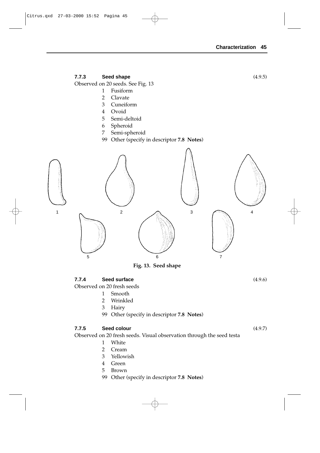#### **7.7.3 Seed shape** (4.9.5)

Observed on 20 seeds. See Fig. 13

- 1 Fusiform
- 2 Clavate
- 3 Cuneiform
- 4 Ovoid
- 5 Semi-deltoid
- 6 Spheroid
- 7 Semi-spheroid
- 99 Other (specify in descriptor **7.8 Notes**)



**Fig. 13. Seed shape**

#### **7.7.4 Seed surface** (4.9.6)

Observed on 20 fresh seeds

- 1 Smooth
- 2 Wrinkled
- 3 Hairy
- 99 Other (specify in descriptor **7.8 Notes**)

#### **7.7.5 Seed colour** (4.9.7)

Observed on 20 fresh seeds. Visual observation through the seed testa

- 1 White
- 2 Cream
- 3 Yellowish
- 4 Green
- 5 Brown
- 99 Other (specify in descriptor **7.8 Notes**)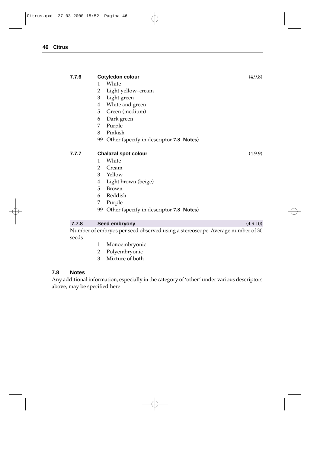| 7.7.6 | <b>Cotyledon colour</b>                       | (4.9.8)  |
|-------|-----------------------------------------------|----------|
|       | White<br>1                                    |          |
|       | 2<br>Light yellow-cream                       |          |
|       | 3<br>Light green                              |          |
|       | White and green<br>4                          |          |
|       | 5<br>Green (medium)                           |          |
|       | Dark green<br>6                               |          |
|       | Purple<br>7                                   |          |
|       | Pinkish<br>8                                  |          |
|       | 99 Other (specify in descriptor 7.8 Notes)    |          |
| 7.7.7 | <b>Chalazal spot colour</b>                   | (4.9.9)  |
|       | White<br>1                                    |          |
|       | Cream<br>2                                    |          |
|       | Yellow<br>3                                   |          |
|       | Light brown (beige)<br>4                      |          |
|       | 5<br><b>Brown</b>                             |          |
|       | Reddish<br>6                                  |          |
|       | 7<br>Purple                                   |          |
|       | Other (specify in descriptor 7.8 Notes)<br>99 |          |
|       |                                               |          |
| 7.7.8 | Seed embryony                                 | (4.9.10) |

Number of embryos per seed observed using a stereoscope. Average number of 30 seeds

- 1 Monoembryonic
- 2 Polyembryonic
- 3 Mixture of both

#### **7.8 Notes**

Any additional information, especially in the category of 'other' under various descriptors above, may be specified here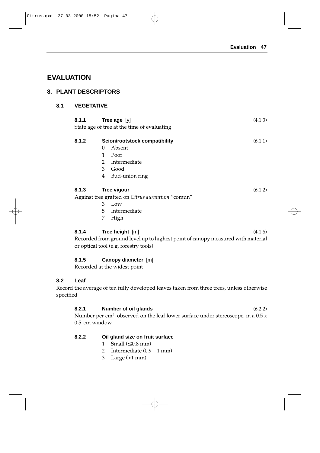# **EVALUATION**

## **8. PLANT DESCRIPTORS**

## **8.1 VEGETATIVE**

| 8.1.1                                       |   | <b>Tree age</b> [y]                              | (4.1.3) |
|---------------------------------------------|---|--------------------------------------------------|---------|
| State age of tree at the time of evaluating |   |                                                  |         |
|                                             |   |                                                  |         |
| 8.1.2                                       |   | Scion/rootstock compatibility                    | (6.1.1) |
|                                             | 0 | Absent                                           |         |
|                                             | 1 | Poor                                             |         |
|                                             | 2 | Intermediate                                     |         |
|                                             | 3 | Good                                             |         |
|                                             | 4 | Bud-union ring                                   |         |
|                                             |   |                                                  |         |
| 8.1.3                                       |   | <b>Tree vigour</b>                               | (6.1.2) |
|                                             |   | Against tree grafted on Citrus aurantium "comun" |         |
|                                             | 3 | Low                                              |         |
|                                             | 5 | Intermediate                                     |         |
|                                             | 7 | High                                             |         |
|                                             |   |                                                  |         |

#### **8.1.4 Tree height** [m] (4.1.6)

Recorded from ground level up to highest point of canopy measured with material or optical tool (e.g. forestry tools)

#### **8.1.5 Canopy diameter** [m]

Recorded at the widest point

## **8.2 Leaf**

Record the average of ten fully developed leaves taken from three trees, unless otherwise specified

## **8.2.1 Number of oil glands** (6.2.2)

Number per cm<sup>2</sup>, observed on the leaf lower surface under stereoscope, in a 0.5 x 0.5 cm window

## **8.2.2 Oil gland size on fruit surface**

- 1 Small  $(\leq 0.8$  mm)
- 2 Intermediate (0.9 1 mm)
- 3 Large (>1 mm)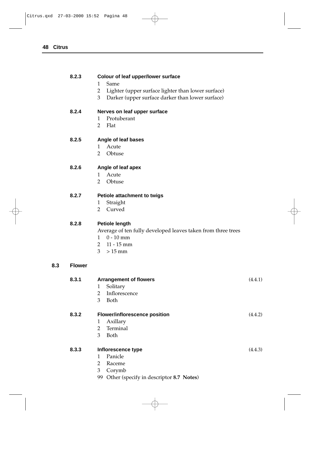#### **8.2.3 Colour of leaf upper/lower surface**

- 1 Same
- 2 Lighter (upper surface lighter than lower surface)
- 3 Darker (upper surface darker than lower surface)

#### **8.2.4 Nerves on leaf upper surface**

- 1 Protuberant
- 2 Flat

#### **8.2.5 Angle of leaf bases**

- 1 Acute
- 2 Obtuse

#### **8.2.6 Angle of leaf apex**

- 1 Acute
- 2 Obtuse

#### **8.2.7 Petiole attachment to twigs**

- 1 Straight
- 2 Curved

#### **8.2.8 Petiole length**

Average of ten fully developed leaves taken from three trees

- 1 0 10 mm
- 2 11 15 mm
- $3 > 15$  mm

#### **8.3 Flower**

| 8.3.1 | <b>Arrangement of flowers</b>        | (4.4.1) |
|-------|--------------------------------------|---------|
|       | Solitary<br>1                        |         |
|       | Inflorescence<br>2                   |         |
|       | 3<br>Both                            |         |
| 8.3.2 | <b>Flower/inflorescence position</b> | (4.4.2) |
|       | Axillary<br>1                        |         |
|       | Terminal<br>2                        |         |
|       | 3<br>Both                            |         |
| 8.3.3 | Inflorescence type                   | (4.4.3) |
|       | Panicle<br>1                         |         |
|       | 2<br>Raceme                          |         |
|       | 3<br>Corymb                          |         |
|       |                                      |         |

99 Other (specify in descriptor **8.7 Notes**)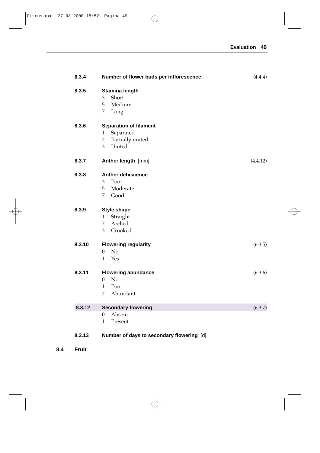| 8.3.4  | Number of flower buds per inflorescence                                                                 | (4.4.4)  |
|--------|---------------------------------------------------------------------------------------------------------|----------|
| 8.3.5  | Stamina length<br>Short<br>3<br>5<br>Medium<br>7<br>Long                                                |          |
| 8.3.6  | <b>Separation of filament</b><br>Separated<br>1<br>$\overline{2}$<br>Partially united<br>United<br>3    |          |
| 8.3.7  | Anther length [mm]                                                                                      | (4.4.12) |
| 8.3.8  | <b>Anther dehiscence</b><br>3<br>Poor<br>5<br>Moderate<br>7<br>Good                                     |          |
| 8.3.9  | <b>Style shape</b><br>Straight<br>$\mathbf{1}$<br>Arched<br>$\overline{2}$<br>$\overline{3}$<br>Crooked |          |
| 8.3.10 | <b>Flowering regularity</b><br>N <sub>o</sub><br>$\boldsymbol{0}$<br>Yes<br>1                           | (6.3.5)  |
| 8.3.11 | <b>Flowering abundance</b><br>No<br>$\Omega$<br>1<br>Poor<br>$\overline{2}$<br>Abundant                 | (6.3.6)  |
| 8.3.12 | <b>Secondary flowering</b>                                                                              | (6.3.7)  |
|        | Absent<br>$\mathbf{0}$<br>Present<br>1                                                                  |          |
| 8.3.13 | Number of days to secondary flowering [d]                                                               |          |

**8.4 Fruit**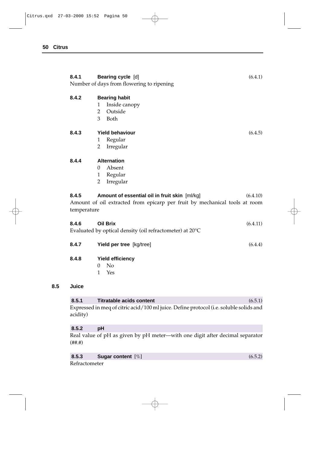| 8.4.1                | Bearing cycle [d]<br>Number of days from flowering to ripening                                                              | (6.4.1)  |
|----------------------|-----------------------------------------------------------------------------------------------------------------------------|----------|
| 8.4.2                | <b>Bearing habit</b><br>1<br>Inside canopy<br>$\overline{2}$<br>Outside<br>3<br>Both                                        |          |
| 8.4.3                | <b>Yield behaviour</b><br>Regular<br>1<br>$\overline{2}$<br>Irregular                                                       | (6.4.5)  |
| 8.4.4                | <b>Alternation</b><br>Absent<br>0<br>Regular<br>$\mathbf{1}$<br>$\overline{2}$<br>Irregular                                 |          |
| 8.4.5<br>temperature | Amount of essential oil in fruit skin [ml/kg]<br>Amount of oil extracted from epicarp per fruit by mechanical tools at room | (6.4.10) |
| 8.4.6                | <b>Oil Brix</b>                                                                                                             | (6.4.11) |
|                      | Evaluated by optical density (oil refractometer) at 20°C                                                                    |          |
| 8.4.7                | Yield per tree [kg/tree]                                                                                                    | (6.4.4)  |
| 8.4.8<br>Juice       | <b>Yield efficiency</b><br>N <sub>o</sub><br>0<br>Yes<br>1                                                                  |          |
| 8.5.1                |                                                                                                                             |          |
| acidity)             | <b>Titratable acids content</b><br>Expressed in meq of citric acid/100 ml juice. Define protocol (i.e. soluble solids and   | (6.5.1)  |

## **8.5.2 pH**

**8.5** 

Real value of pH as given by pH meter—with one digit after decimal separator  $(\# \# \#)$ 

| 8.5.3 | Sugar content $[\%]$ | (6.5.2) |
|-------|----------------------|---------|
|       |                      |         |

Refractometer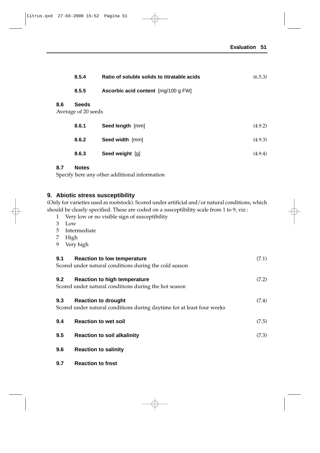|     | 8.5.4                               | Ratio of soluble solids to titratable acids | (6.5.3) |
|-----|-------------------------------------|---------------------------------------------|---------|
|     | 8.5.5                               | Ascorbic acid content [mg/100 g FW]         |         |
| 8.6 | <b>Seeds</b><br>Average of 20 seeds |                                             |         |
|     | 8.6.1                               | Seed length [mm]                            | (4.9.2) |
|     | 8.6.2                               | Seed width [mm]                             | (4.9.3) |
|     | 8.6.3                               | Seed weight [g]                             | (4.9.4) |

#### **8.7 Notes**

Specify here any other additional information

## **9. Abiotic stress susceptibility**

(Only for varieties used as rootstock). Scored under artificial and/or natural conditions, which should be clearly specified. These are coded on a susceptibility scale from 1 to 9, viz.:

- 1 Very low or no visible sign of susceptibility
- 3 Low
- 5 Intermediate
- 7 High
- 9 Very high

| 9.1 | <b>Reaction to low temperature</b><br>Scored under natural conditions during the cold season         | (7.1) |
|-----|------------------------------------------------------------------------------------------------------|-------|
| 9.2 | <b>Reaction to high temperature</b><br>Scored under natural conditions during the hot season         | (7.2) |
| 9.3 | <b>Reaction to drought</b><br>Scored under natural conditions during daytime for at least four weeks | (7.4) |
| 9.4 | <b>Reaction to wet soil</b>                                                                          | (7.5) |
| 9.5 | <b>Reaction to soil alkalinity</b>                                                                   | (7.3) |
| 9.6 | <b>Reaction to salinity</b>                                                                          |       |

**9.7 Reaction to frost**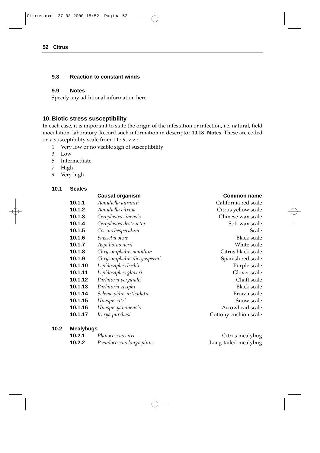#### **9.8 Reaction to constant winds**

#### **9.9 Notes**

Specify any additional information here

#### **10. Biotic stress susceptibility**

In each case, it is important to state the origin of the infestation or infection, i.e. natural, field inoculation, laboratory. Record such information in descriptor **10.18 Notes**. These are coded on a susceptibility scale from 1 to 9, viz.:

- 1 Very low or no visible sign of susceptibility
- 3 Low
- 5 Intermediate
- 7 High
- 9 Very high

#### **10.1 Scales**

## **Causal organism Common name 10.1.1** *Aonidiella aurantii* California red scale **10.1.2** *Aonidiella citrina* Citrus yellow scale **10.1.3** *Ceroplastes sinensis* Chinese wax scale **10.1.4** *Ceroplastes destructor* Soft wax scale **10.1.5** *Coccus hesperidum* Scale **10.1.6** *Saissetia oleae* Black scale **10.1.7** *Aspidiotus nerii* White scale **10.1.8** *Chrysomphalus aonidum* Citrus black scale **10.1.9** *Chrysomphalus dictyospermi* Spanish red scale **10.1.10** *Lepidosaphes beckii* **Purple scale** Purple scale **10.1.11** *Lepidosaphes gloveri* Glover scale **10.1.12** *Parlatoria pergandei* Chaff scale **10.1.13** *Parlatoria ziziphi* Black scale **10.1.14** *Selenaspidus articulatus* **Brown scale** Brown scale **10.1.15** *Unaspis citri* Snow scale **10.1.16** *Unaspis yanonensis* Arrowhead scale **10.1.17** *Icerya purchasi Cottony cushion scale*

#### **10.2 Mealybugs**

| 10.2.1 | Planococcus citri        | Citrus mealybug      |
|--------|--------------------------|----------------------|
| 10.2.2 | Pseudococcus longispinus | Long-tailed mealybug |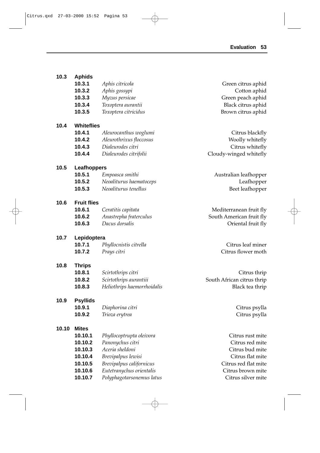| 10.3  | <b>Aphids</b><br>10.3.1<br>10.3.2<br>10.3.3<br>10.3.4<br>10.3.5                           | Aphis citricola<br>Aphis gossypi<br>Myzus persicae<br>Toxoptera aurantii<br>Toxoptera citricidus                                                                           | Green citrus aphid<br>Cotton aphid<br>Green peach aphid<br>Black citrus aphid<br>Brown citrus aphid                                           |
|-------|-------------------------------------------------------------------------------------------|----------------------------------------------------------------------------------------------------------------------------------------------------------------------------|-----------------------------------------------------------------------------------------------------------------------------------------------|
| 10.4  | <b>Whiteflies</b><br>10.4.1<br>10.4.2<br>10.4.3<br>10.4.4                                 | Aleurocanthus woglumi<br>Aleurothrixus floccosus<br>Dialeurodes citri<br>Dialeurodes citrifolii                                                                            | Citrus blackfly<br>Woolly whitefly<br>Citrus whitefly<br>Cloudy-winged whitefly                                                               |
| 10.5  | Leafhoppers<br>10.5.1<br>10.5.2<br>10.5.3                                                 | Empoasca smithi<br>Neoaliturus haematoceps<br>Neoaliturus tenellus                                                                                                         | Australian leafhopper<br>Leafhopper<br>Beet leafhopper                                                                                        |
| 10.6  | <b>Fruit flies</b><br>10.6.1<br>10.6.2<br>10.6.3                                          | Ceratitis capitata<br>Anastrepha fraterculus<br>Dacus dorsalis                                                                                                             | Mediterranean fruit fly<br>South American fruit fly<br>Oriental fruit fly                                                                     |
| 10.7  | Lepidoptera<br>10.7.1<br>10.7.2                                                           | Phyllocnistis citrella<br>Prays citri                                                                                                                                      | Citrus leaf miner<br>Citrus flower moth                                                                                                       |
| 10.8  | <b>Thrips</b><br>10.8.1<br>10.8.2<br>10.8.3                                               | Scirtothrips citri<br>Scirtothrips aurantiii<br>Heliothrips haemorrhoidalis                                                                                                | Citrus thrip<br>South African citrus thrip<br>Black tea thrip                                                                                 |
| 10.9  | <b>Psyllids</b><br>10.9.1<br>10.9.2                                                       | Diaphorina citri<br>Trioza erytrea                                                                                                                                         | Citrus psylla<br>Citrus psylla                                                                                                                |
| 10.10 | <b>Mites</b><br>10.10.1<br>10.10.2<br>10.10.3<br>10.10.4<br>10.10.5<br>10.10.6<br>10.10.7 | Phyllocoptrupta oleivora<br>Panonychus citri<br>Aceria sheldoni<br>Brevipalpus lewisi<br>Brevipalpus californicus<br>Eutetranychus orientalis<br>Polyphagotarsonemus latus | Citrus rust mite<br>Citrus red mite<br>Citrus bud mite<br>Citrus flat mite<br>Citrus red flat mite<br>Citrus brown mite<br>Citrus silver mite |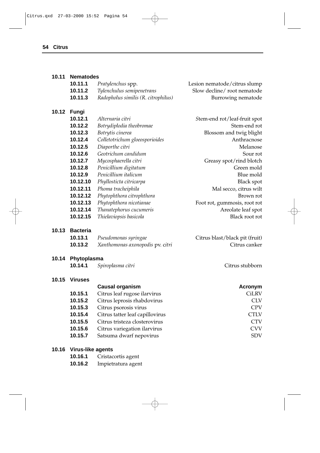#### **10.11 Nematodes**

| 10.11.1 | Pratylenchus spp.                   | Lesion nematode/citrus slump |
|---------|-------------------------------------|------------------------------|
| 10.11.2 | Tylenchulus semipenetrans           | Slow decline/root nematode   |
| 10.11.3 | Radopholus similis (R. citrophilus) | Burrowing nematode           |

**10.14.1** *Spiroplasma citri* Citrus stubborn

#### **10.12 Fungi**

| 10.12.1  | Alternaria citri               | Stem-end rot/leaf-fruit spot |
|----------|--------------------------------|------------------------------|
| 10.12.2  | Botrydiplodia theobromae       | Stem-end rot                 |
| 10.12.3  | Botrytis cinerea               | Blossom and twig blight      |
| 10.12.4  | Colletotrichum gloeosporioides | Anthracnose                  |
| 10.12.5  | Diaporthe citri                | Melanose                     |
| 10.12.6  | Geotrichum candidum            | Sour rot                     |
| 10.12.7  | Mycosphaerella citri           | Greasy spot/rind blotch      |
| 10.12.8  | Penicillium digitatum          | Green mold                   |
| 10.12.9  | Penicillium italicum           | Blue mold                    |
| 10.12.10 | Phyllosticta citricarpa        | <b>Black spot</b>            |
| 10.12.11 | Phoma tracheiphila             | Mal secco, citrus wilt       |
| 10.12.12 | Phytophthora citrophthora      | Brown rot                    |
| 10.12.13 | Phytophthora nicotianae        | Foot rot, gummosis, root rot |
| 10.12.14 | Thanatephorus cucumeris        | Areolate leaf spot           |
| 10.12.15 | Thielaviopsis basicola         | Black root rot               |

#### **10.13 Bacteria**

| 10.13.1 | Pseudomonas syringae             | Citrus blast/black pit (fruit) |
|---------|----------------------------------|--------------------------------|
| 10.13.2 | Xanthomonas axonopodis pv. citri | Citrus canker                  |

#### **10.14 Phytoplasma**

|  |  | 10.14.1 | Spiroplasma citri |  |
|--|--|---------|-------------------|--|
|--|--|---------|-------------------|--|

#### **10.15 Viruses**

|         | <b>Causal organism</b>          | Acronym      |
|---------|---------------------------------|--------------|
| 10.15.1 | Citrus leaf rugose ilarvirus    | <b>CiLRV</b> |
| 10.15.2 | Citrus leprosis rhabdovirus     | <b>CLV</b>   |
| 10.15.3 | Citrus psorosis virus           | <b>CPV</b>   |
| 10.15.4 | Citrus tatter leaf capillovirus | <b>CTLV</b>  |
| 10.15.5 | Citrus tristeza closterovirus   | <b>CTV</b>   |
| 10.15.6 | Citrus variegation ilarvirus    | <b>CVV</b>   |
| 10.15.7 | Satsuma dwarf nepovirus         | <b>SDV</b>   |
|         |                                 |              |

## **10.16 Virus-like agents**

- **10.16.1** Cristacortis agent
- **10.16.2** Impietratura agent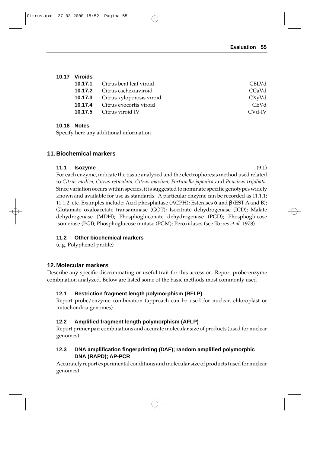## **10.17 Viroids**

| <b>10.17.1</b> Citrus bent leaf viroid   | CBLVd                          |
|------------------------------------------|--------------------------------|
| <b>10.17.2</b> Citrus cachexiaviroid     | CC <sub>a</sub> V <sub>d</sub> |
| <b>10.17.3</b> Citrus xyloporosis viroid | CXyVd                          |
| <b>10.17.4</b> Citrus exocortis viroid   | <b>CEVd</b>                    |
| <b>10.17.5</b> Citrus viroid IV          | CVd-IV                         |

#### **10.18 Notes**

Specify here any additional information

## **11. Biochemical markers**

#### **11.1 Isozyme** (9.1)

For each enzyme, indicate the tissue analyzed and the electrophoresis method used related to *Citrus medica, Citrus reticulata, Citrus maxima, Fortunella japonica* and *Poncirus trifoliata*. Since variation occurs within species, it is suggested to nominate specific genotypes widely known and available for use as standards. A particular enzyme can be recorded as 11.1.1; 11.1.2, etc. Examples include: Acid phosphatase (ACPH); Esterases α and β (EST A and B); Glutamate oxaloacetate transaminase (GOT); Isocitrate dehydrogenase (ICD); Malate dehydrogenase (MDH); Phosphogluconate dehydrogenase (PGD); Phosphoglucose isomerase (PGI); Phosphoglucose mutase (PGM); Peroxidases (see Torres *et al.* 1978)

## **11.2 Other biochemical markers**

(e.g. Polyphenol profile)

## **12. Molecular markers**

Describe any specific discriminating or useful trait for this accession. Report probe-enzyme combination analyzed. Below are listed some of the basic methods most commonly used

## **12.1 Restriction fragment length polymorphism (RFLP)**

Report probe/enzyme combination (approach can be used for nuclear, chloroplast or mitochondria genomes)

## **12.2 Amplified fragment length polymorphism (AFLP)**

Report primer pair combinations and accurate molecular size of products (used for nuclear genomes)

## **12.3 DNA amplification fingerprinting (DAF); random amplified polymorphic DNA (RAPD); AP-PCR**

Accurately report experimental conditions and molecular size of products (used for nuclear genomes)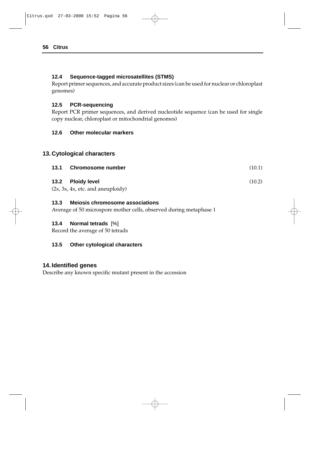#### **12.4 Sequence-tagged microsatellites (STMS)**

Report primer sequences, and accurate product sizes (can be used for nuclear or chloroplast genomes)

#### **12.5 PCR-sequencing**

Report PCR primer sequences, and derived nucleotide sequence (can be used for single copy nuclear, chloroplast or mitochondrial genomes)

#### **12.6 Other molecular markers**

## **13. Cytological characters**

| 13.1 Chromosome number | (10.1) |
|------------------------|--------|
| 13.2 Ploidy level      | (10.2) |

 $(2x, 3x, 4x,$  etc. and aneuploidy)

#### **13.3 Meiosis chromosome associations**

Average of 50 microspore mother cells, observed during metaphase 1

#### **13.4 Normal tetrads** [%]

Record the average of 50 tetrads

## **13.5 Other cytological characters**

## **14. Identified genes**

Describe any known specific mutant present in the accession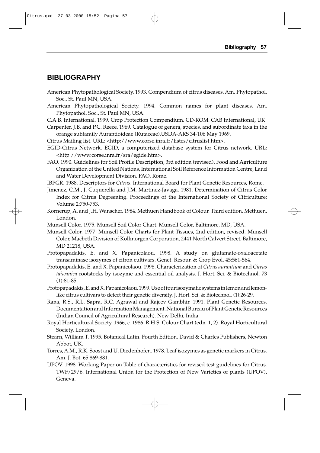# **BIBLIOGRAPHY**

- American Phytopathological Society. 1993. Compendium of citrus diseases. Am. Phytopathol. Soc., St. Paul MN, USA.
- American Phytopathological Society. 1994. Common names for plant diseases. Am. Phytopathol. Soc., St. Paul MN, USA.
- C.A.B. International. 1999. Crop Protection Compendium. CD-ROM. CAB International, UK.
- Carpenter, J.B. and P.C. Reece. 1969. Catalogue of genera, species, and subordinate taxa in the orange subfamily Aurantioideae (Rutaceae).USDA-ARS 34-106 May 1969.
- Citrus Mailing list. URL: <http://www.corse.inra.fr/listes/citruslist.htm>.
- EGID-Citrus Network. EGID, a computerized database system for Citrus network. URL: <http://www.corse.inra.fr/sra/egide.htm>.
- FAO. 1990. Guidelines for Soil Profile Description, 3rd edition (revised). Food and Agriculture Organization of the United Nations, International Soil Reference Information Centre, Land and Water Development Division. FAO, Rome.
- IBPGR. 1988. Descriptors for *Citrus*. International Board for Plant Genetic Resources, Rome.
- Jimenez, C.M., J. Cuquerella and J.M. Martinez-Javaga. 1981. Determination of Citrus Color Index for Citrus Degreening. Proceedings of the International Society of Citriculture: Volume 2:750-753.
- Kornerup, A. and J.H. Wanscher. 1984. Methuen Handbook of Colour. Third edition. Methuen, London.
- Munsell Color. 1975. Munsell Soil Color Chart. Munsell Color, Baltimore, MD, USA.
- Munsell Color. 1977. Munsell Color Charts for Plant Tissues, 2nd edition, revised. Munsell Color, Macbeth Division of Kollmorgen Corporation, 2441 North Calvert Street, Baltimore, MD 21218, USA.
- Protopapadakis, E. and X. Papanicolaou. 1998. A study on glutamate-oxaloacetate transaminase isozymes of citron cultivars. Genet. Resour. & Crop Evol. 45:561-564.
- Protopapadakis, E. and X. Papanicolaou. 1998. Characterization of *Citrus aurantium* and *Citrus taiwanica* rootstocks by isozyme and essential oil analysis. J. Hort. Sci. & Biotechnol. 73 (1):81-85.
- Protopapadakis, E. and X. Papanicolaou. 1999. Use of four isozymatic systems in lemon and lemonlike citrus cultivars to detect their genetic diversity. J. Hort. Sci. & Biotechnol. (1):26-29.
- Rana, R.S., R.L. Sapra, R.C. Agrawal and Rajeev Gambhir. 1991. Plant Genetic Resources. Documentation and Information Management. National Bureau of Plant Genetic Resources (Indian Council of Agricultural Research). New Delhi, India.
- Royal Horticultural Society. 1966, c. 1986. R.H.S. Colour Chart (edn. 1, 2). Royal Horticultural Society, London.
- Stearn, William T. 1995. Botanical Latin. Fourth Edition. David & Charles Publishers, Newton Abbot, UK.
- Torres, A.M., R.K. Soost and U. Diedenhofen. 1978. Leaf isozymes as genetic markers in Citrus. Am. J. Bot. 65:869-881.
- UPOV. 1998. Working Paper on Table of characteristics for revised test guidelines for Citrus. TWF/29/6. International Union for the Protection of New Varieties of plants (UPOV), Geneva.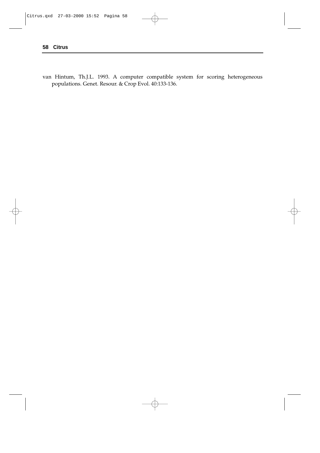van Hintum, Th.J.L. 1993. A computer compatible system for scoring heterogeneous populations. Genet. Resour. & Crop Evol. 40:133-136.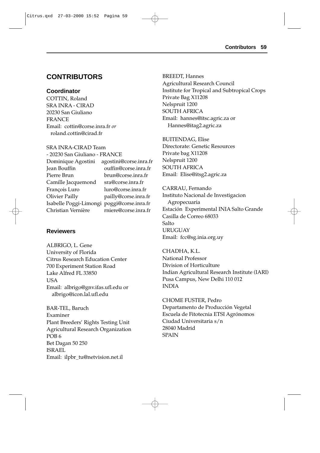# **CONTRIBUTORS**

## **Coordinator**

COTTIN, Roland SRA INRA - CIRAD 20230 San Giuliano FRANCE Email: cottin@corse.inra.fr *or* roland.cottin@cirad.fr

#### SRA INRA-CIRAD Team

| - 20230 San Giuliano - FRANCE              |                        |
|--------------------------------------------|------------------------|
| Dominique Agostini                         | agostini@corse.inra.fr |
| Jean Bouffin                               | ouffin@corse.inra.fr   |
| Pierre Brun                                | brun@corse.inra.fr     |
| Camille Jacquemond                         | sra@corse.inra.fr      |
| François Luro                              | luro@corse.inra.fr     |
| <b>Olivier Pailly</b>                      | pailly@corse.inra.fr   |
| Isabelle Poggi-Limongi poggi@corse.inra.fr |                        |
| Christian Vernière                         | rniere@corse.inra.fr   |
|                                            |                        |

## **Reviewers**

ALBRIGO, L. Gene University of Florida Citrus Research Education Center 700 Experiment Station Road Lake Alfred FL 33850 **USA** Email: albrigo@gnv.ifas.ufl.edu or albrigo@icon.lal.ufl.edu

BAR-TEL, Baruch Examiner Plant Breeders' Rights Testing Unit Agricultural Research Organization POB 6 Bet Dagan 50 250 ISRAEL Email: ilpbr\_tu@netvision.net.il

BREEDT, Hannes Agricultural Research Council Institute for Tropical and Subtropical Crops Private Bag X11208 Nelspruit 1200 SOUTH AFRICA Email: hannes@itsc.agric.za or Hannes@itag2.agric.za

BUITENDAG, Elise Directorate: Genetic Resources Private bag X11208 Nelspruit 1200 SOUTH AFRICA Email: Elise@itsg2.agric.za

CARRAU, Fernando Instituto Nacional de Investigacion Agropecuaria Estación Experimental INIA Salto Grande Casilla de Correo 68033 **Salto** URUGUAY Email: fcc@sg.inia.org.uy

CHADHA, K.L. National Professor Division of Horticulture Indian Agricultural Research Institute (IARI) Pusa Campus, New Delhi 110 012 INDIA

CHOME FUSTER, Pedro Departamento de Producción Vegetal Escuela de Fitotecnia ETSI Agrónomos Ciudad Universitaria s/n 28040 Madrid SPAIN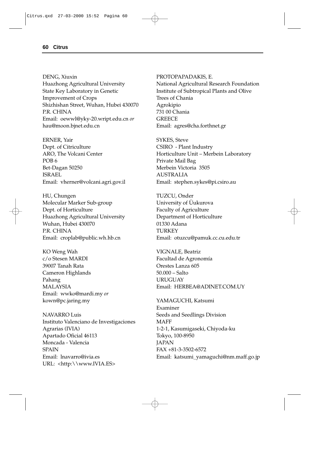DENG, Xiuxin Huazhong Agricultural University State Key Laboratory in Genetic Improvement of Crops Shizhishan Street, Wuhan, Hubei 430070 P.R. CHINA Email: oewwl@yky-20.wript.edu.cn *or* hau@moon.bjnet.edu.cn

ERNER, Yair Dept. of Citriculture ARO, The Volcani Center POB 6 Bet-Dagan 50250 ISRAEL Email: vherner@volcani.agri.gov.il

HU, Chungen Molecular Marker Sub-group Dept. of Horticulture Huazhong Agricultural University Wuhan, Hubei 430070 P.R. CHINA Email: croplab@public.wh.hb.cn

KO Weng Wah c/o Stesen MARDI 39007 Tanah Rata Cameron Highlands Pahang MALAYSIA Email: wwko@mardi.my *or* kown@pc.jaring.my

NAVARRO Luis Instituto Valenciano de Investigaciones Agrarias (IVIA) Apartado Oficial 46113 Moncada - Valencia **SPAIN** Email: lnavarro@ivia.es URL: <http:\\www.IVIA.ES>

PROTOPAPADAKIS, E.

National Agricultural Research Foundation Institute of Subtropical Plants and Olive Trees of Chania Agrokipio 731 00 Chania **GREECE** Email: agres@cha.forthnet.gr

SYKES, Steve CSIRO - Plant Industry Horticulture Unit – Merbein Laboratory Private Mail Bag Merbein Victoria 3505 **AUSTRALIA** Email: stephen.sykes@pi.csiro.au

TUZCU, Onder University of Üukurova Faculty of Agriculture Department of Horticulture 01330 Adana **TURKEY** Email: otuzcu@pamuk.cc.cu.edu.tr

VIGNALE, Beatriz Facultad de Agronomía Orestes Lanza 605 50.000 – Salto **URUGUAY** Email: HERBEA@ADINET.COM.UY

YAMAGUCHI, Katsumi Examiner Seeds and Seedlings Division MAFF 1-2-1, Kasumigaseki, Chiyoda-ku Tokyo, 100-8950 **JAPAN** FAX +81-3-3502-6572 Email: katsumi\_yamaguchi@nm.maff.go.jp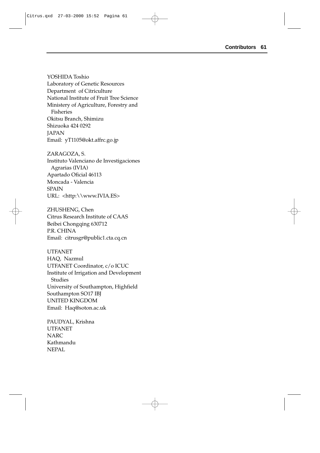YOSHIDA Toshio Laboratory of Genetic Resources Department of Citriculture National Institute of Fruit Tree Science Ministery of Agriculture, Forestry and Fisheries Okitsu Branch, Shimizu Shizuoka 424 0292 **JAPAN** Email: yT1105@okt.affrc.go.jp

ZARAGOZA, S. Instituto Valenciano de Investigaciones Agrarias (IVIA) Apartado Oficial 46113 Moncada - Valencia **SPAIN** URL: <http:\\www.IVIA.ES>

ZHUSHENG, Chen Citrus Research Institute of CAAS Beibei Chongqing 630712 P.R. CHINA Email: citrusgr@public1.cta.cq.cn

UTFANET HAQ, Nazmul UTFANET Coordinator, c/o ICUC Institute of Irrigation and Development Studies University of Southampton, Highfield Southampton SO17 IBJ UNITED KINGDOM Email: Haq@soton.ac.uk

PAUDYAL, Krishna UTFANET **NARC** Kathmandu NEPAL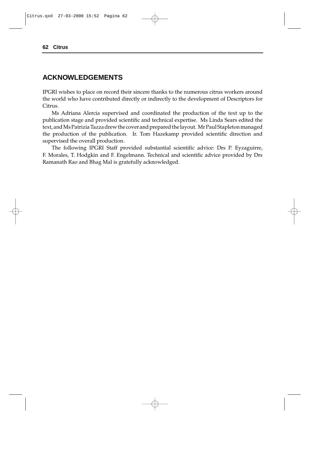## **ACKNOWLEDGEMENTS**

IPGRI wishes to place on record their sincere thanks to the numerous citrus workers around the world who have contributed directly or indirectly to the development of Descriptors for Citrus.

Ms Adriana Alercia supervised and coordinated the production of the text up to the publication stage and provided scientific and technical expertise. Ms Linda Sears edited the text, and Ms Patrizia Tazza drew the cover and prepared the layout. Mr Paul Stapleton managed the production of the publication. Ir. Tom Hazekamp provided scientific direction and supervised the overall production.

The following IPGRI Staff provided substantial scientific advice: Drs P. Eyzaguirre, F. Morales, T. Hodgkin and F. Engelmann. Technical and scientific advice provided by Drs Ramanath Rao and Bhag Mal is gratefully acknowledged.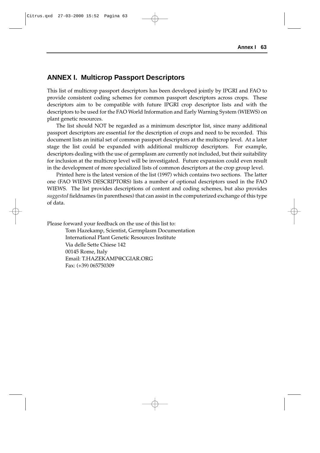## **ANNEX I. Multicrop Passport Descriptors**

This list of multicrop passport descriptors has been developed jointly by IPGRI and FAO to provide consistent coding schemes for common passport descriptors across crops. These descriptors aim to be compatible with future IPGRI crop descriptor lists and with the descriptors to be used for the FAO World Information and Early Warning System (WIEWS) on plant genetic resources.

The list should NOT be regarded as a minimum descriptor list, since many additional passport descriptors are essential for the description of crops and need to be recorded. This document lists an initial set of common passport descriptors at the multicrop level. At a later stage the list could be expanded with additional multicrop descriptors. For example, descriptors dealing with the use of germplasm are currently not included, but their suitability for inclusion at the multicrop level will be investigated. Future expansion could even result in the development of more specialized lists of common descriptors at the crop group level.

Printed here is the latest version of the list (1997) which contains two sections. The latter one (FAO WIEWS DESCRIPTORS) lists a number of optional descriptors used in the FAO WIEWS. The list provides descriptions of content and coding schemes, but also provides *suggested* fieldnames (in parentheses) that can assist in the computerized exchange of this type of data.

Please forward your feedback on the use of this list to:

Tom Hazekamp, Scientist, Germplasm Documentation International Plant Genetic Resources Institute Via delle Sette Chiese 142 00145 Rome, Italy Email: T.HAZEKAMP@CGIAR.ORG Fax: (+39) 065750309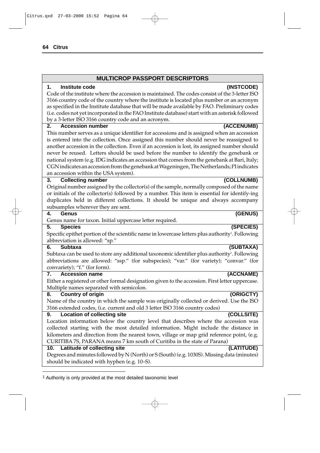## **MULTICROP PASSPORT DESCRIPTORS**

#### **1. Institute code (INSTCODE)**

Code of the institute where the accession is maintained. The codes consist of the 3-letter ISO 3166 country code of the country where the institute is located plus number or an acronym as specified in the Institute database that will be made available by FAO. Preliminary codes (i.e. codes not yet incorporated in the FAO Institute database) start with an asterisk followed by a 3-letter ISO 3166 country code and an acronym.

#### **2. Accession number (ACCENUMB)**

This number serves as a unique identifier for accessions and is assigned when an accession is entered into the collection. Once assigned this number should never be reassigned to another accession in the collection. Even if an accession is lost, its assigned number should never be reused. Letters should be used before the number to identify the genebank or national system (e.g. IDG indicates an accession that comes from the genebank at Bari, Italy; CGN indicates an accession from the genebank at Wageningen, The Netherlands; PI indicates an accession within the USA system).

#### **3. Collecting number (COLLNUMB)**

Original number assigned by the collector(s) of the sample, normally composed of the name or initials of the collector(s) followed by a number. This item is essential for identify-ing duplicates held in different collections. It should be unique and always accompany subsamples wherever they are sent.

#### **4. Genus (GENUS)**

Genus name for taxon. Initial uppercase letter required.

#### **5. Species (SPECIES)**

Specific epithet portion of the scientific name in lowercase letters plus authority'. Following abbreviation is allowed: "sp."

#### **6. Subtaxa (SUBTAXA)**

Subtaxa can be used to store any additional taxonomic identifier plus authority'. Following abbreviations are allowed: "ssp." (for subspecies); "var." (for variety); "convar." (for convariety); "f." (for form).

#### **7. Accession name (ACCNAME)**

Either a registered or other formal designation given to the accession. First letter uppercase. Multiple names separated with semicolon.

## **8. Country of origin (ORIGCTY)**

Name of the country in which the sample was originally collected or derived. Use the ISO 3166 extended codes, (i.e. current and old 3 letter ISO 3166 country codes)

#### **9. Location of collecting site (COLLSITE)**

Location information below the country level that describes where the accession was collected starting with the most detailed information. Might include the distance in kilometers and direction from the nearest town, village or map grid reference point, (e.g. CURITIBA 7S, PARANA means 7 km south of Curitiba in the state of Parana)

#### **10. Latitude of collecting site (LATITUDE)**

Degrees and minutes followed by N (North) or S (South) (e.g. 1030S). Missing data (minutes) should be indicated with hyphen (e.g. 10–S).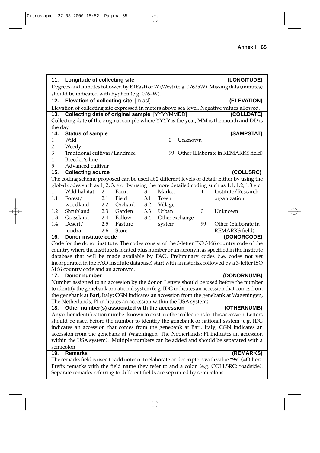| (LONGITUDE)<br>Longitude of collecting site<br>11.<br>Degrees and minutes followed by E (East) or W (West) (e.g. 07625W). Missing data (minutes)<br>should be indicated with hyphen (e.g. 076-W).<br>Elevation of collecting site [m asl]<br>(ELEVATION)<br>12.<br>Elevation of collecting site expressed in meters above sea level. Negative values allowed.<br><b>Collecting date of original sample [YYYYMMDD]</b><br>(COLLDATE)<br>13.<br>Collecting date of the original sample where YYYY is the year, MM is the month and DD is<br>the day.<br>(SAMPSTAT)<br>14.<br><b>Status of sample</b><br>Wild<br>Unknown<br>$\theta$<br>1<br>2<br>Weedy<br>3<br>Traditional cultivar/Landrace<br>99 Other (Elaborate in REMARKS field)<br>Breeder's line<br>4 |
|------------------------------------------------------------------------------------------------------------------------------------------------------------------------------------------------------------------------------------------------------------------------------------------------------------------------------------------------------------------------------------------------------------------------------------------------------------------------------------------------------------------------------------------------------------------------------------------------------------------------------------------------------------------------------------------------------------------------------------------------------------|
|                                                                                                                                                                                                                                                                                                                                                                                                                                                                                                                                                                                                                                                                                                                                                            |
|                                                                                                                                                                                                                                                                                                                                                                                                                                                                                                                                                                                                                                                                                                                                                            |
|                                                                                                                                                                                                                                                                                                                                                                                                                                                                                                                                                                                                                                                                                                                                                            |
|                                                                                                                                                                                                                                                                                                                                                                                                                                                                                                                                                                                                                                                                                                                                                            |
|                                                                                                                                                                                                                                                                                                                                                                                                                                                                                                                                                                                                                                                                                                                                                            |
|                                                                                                                                                                                                                                                                                                                                                                                                                                                                                                                                                                                                                                                                                                                                                            |
|                                                                                                                                                                                                                                                                                                                                                                                                                                                                                                                                                                                                                                                                                                                                                            |
|                                                                                                                                                                                                                                                                                                                                                                                                                                                                                                                                                                                                                                                                                                                                                            |
|                                                                                                                                                                                                                                                                                                                                                                                                                                                                                                                                                                                                                                                                                                                                                            |
|                                                                                                                                                                                                                                                                                                                                                                                                                                                                                                                                                                                                                                                                                                                                                            |
|                                                                                                                                                                                                                                                                                                                                                                                                                                                                                                                                                                                                                                                                                                                                                            |
|                                                                                                                                                                                                                                                                                                                                                                                                                                                                                                                                                                                                                                                                                                                                                            |
|                                                                                                                                                                                                                                                                                                                                                                                                                                                                                                                                                                                                                                                                                                                                                            |
| 5<br>Advanced cultivar                                                                                                                                                                                                                                                                                                                                                                                                                                                                                                                                                                                                                                                                                                                                     |
| 15.<br><b>Collecting source</b><br>(COLLSRC)                                                                                                                                                                                                                                                                                                                                                                                                                                                                                                                                                                                                                                                                                                               |
| The coding scheme proposed can be used at 2 different levels of detail: Either by using the                                                                                                                                                                                                                                                                                                                                                                                                                                                                                                                                                                                                                                                                |
| global codes such as 1, 2, 3, 4 or by using the more detailed coding such as 1.1, 1.2, 1.3 etc.                                                                                                                                                                                                                                                                                                                                                                                                                                                                                                                                                                                                                                                            |
| Wild habitat<br>Farm<br>Market<br>Institute/Research<br>1<br>2<br>3<br>4                                                                                                                                                                                                                                                                                                                                                                                                                                                                                                                                                                                                                                                                                   |
| 1.1<br>Forest/<br>2.1<br>Field<br>3.1<br>Town<br>organization                                                                                                                                                                                                                                                                                                                                                                                                                                                                                                                                                                                                                                                                                              |
| woodland<br>2.2<br>Orchard<br>3.2<br>Village                                                                                                                                                                                                                                                                                                                                                                                                                                                                                                                                                                                                                                                                                                               |
| Shrubland<br>2.3<br>Garden<br>Urban<br>3.3<br>$\boldsymbol{0}$<br>Unknown<br>1.2                                                                                                                                                                                                                                                                                                                                                                                                                                                                                                                                                                                                                                                                           |
| Grassland<br>1.3<br>2.4<br>Fallow<br>3.4<br>Other exchange                                                                                                                                                                                                                                                                                                                                                                                                                                                                                                                                                                                                                                                                                                 |
| 2.5<br>99<br>1.4<br>Desert/<br>Other (Elaborate in<br>Pasture<br>system                                                                                                                                                                                                                                                                                                                                                                                                                                                                                                                                                                                                                                                                                    |
| tundra<br><b>REMARKS</b> field)<br>2.6<br><b>Store</b>                                                                                                                                                                                                                                                                                                                                                                                                                                                                                                                                                                                                                                                                                                     |
| Donor institute code<br>16.<br>(DONORCODE)                                                                                                                                                                                                                                                                                                                                                                                                                                                                                                                                                                                                                                                                                                                 |
| Code for the donor institute. The codes consist of the 3-letter ISO 3166 country code of the                                                                                                                                                                                                                                                                                                                                                                                                                                                                                                                                                                                                                                                               |
| country where the institute is located plus number or an acronym as specified in the Institute                                                                                                                                                                                                                                                                                                                                                                                                                                                                                                                                                                                                                                                             |
| database that will be made available by FAO. Preliminary codes (i.e. codes not yet                                                                                                                                                                                                                                                                                                                                                                                                                                                                                                                                                                                                                                                                         |
| incorporated in the FAO Institute database) start with an asterisk followed by a 3-letter ISO                                                                                                                                                                                                                                                                                                                                                                                                                                                                                                                                                                                                                                                              |
| 3166 country code and an acronym.                                                                                                                                                                                                                                                                                                                                                                                                                                                                                                                                                                                                                                                                                                                          |
| 17. Donor number<br>(DONORNUMB)                                                                                                                                                                                                                                                                                                                                                                                                                                                                                                                                                                                                                                                                                                                            |
| Number assigned to an accession by the donor. Letters should be used before the number                                                                                                                                                                                                                                                                                                                                                                                                                                                                                                                                                                                                                                                                     |
| to identify the genebank or national system (e.g. IDG indicates an accession that comes from                                                                                                                                                                                                                                                                                                                                                                                                                                                                                                                                                                                                                                                               |
| the genebank at Bari, Italy; CGN indicates an accession from the genebank at Wageningen,                                                                                                                                                                                                                                                                                                                                                                                                                                                                                                                                                                                                                                                                   |
| The Netherlands; PI indicates an accession within the USA system)                                                                                                                                                                                                                                                                                                                                                                                                                                                                                                                                                                                                                                                                                          |
| Other number(s) associated with the accession<br>(OTHERNUMB)<br>18.<br>Any other identification number known to exist in other collections for this accession. Letters                                                                                                                                                                                                                                                                                                                                                                                                                                                                                                                                                                                     |
|                                                                                                                                                                                                                                                                                                                                                                                                                                                                                                                                                                                                                                                                                                                                                            |
| should be used before the number to identify the genebank or national system (e.g. IDG                                                                                                                                                                                                                                                                                                                                                                                                                                                                                                                                                                                                                                                                     |
| indicates an accession that comes from the genebank at Bari, Italy; CGN indicates an                                                                                                                                                                                                                                                                                                                                                                                                                                                                                                                                                                                                                                                                       |
| accession from the genebank at Wageningen, The Netherlands; PI indicates an accession                                                                                                                                                                                                                                                                                                                                                                                                                                                                                                                                                                                                                                                                      |
| within the USA system). Multiple numbers can be added and should be separated with a                                                                                                                                                                                                                                                                                                                                                                                                                                                                                                                                                                                                                                                                       |
| semicolon<br>19.<br><b>Remarks</b><br>(REMARKS)                                                                                                                                                                                                                                                                                                                                                                                                                                                                                                                                                                                                                                                                                                            |
| The remarks field is used to add notes or to elaborate on descriptors with value "99" (=Other).                                                                                                                                                                                                                                                                                                                                                                                                                                                                                                                                                                                                                                                            |
| Prefix remarks with the field name they refer to and a colon (e.g. COLLSRC: roadside).                                                                                                                                                                                                                                                                                                                                                                                                                                                                                                                                                                                                                                                                     |
| Separate remarks referring to different fields are separated by semicolons.                                                                                                                                                                                                                                                                                                                                                                                                                                                                                                                                                                                                                                                                                |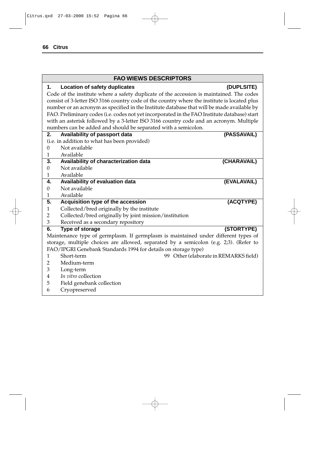## **FAO WIEWS DESCRIPTORS**

## **1. Location of safety duplicates (DUPLSITE)**

Code of the institute where a safety duplicate of the accession is maintained. The codes consist of 3-letter ISO 3166 country code of the country where the institute is located plus number or an acronym as specified in the Institute database that will be made available by FAO. Preliminary codes (i.e. codes not yet incorporated in the FAO Institute database) start with an asterisk followed by a 3-letter ISO 3166 country code and an acronym. Multiple numbers can be added and should be separated with a semicolon.

| 2.                                           | Availability of passport data                                                         | (PASSAVAIL)                           |  |  |  |  |
|----------------------------------------------|---------------------------------------------------------------------------------------|---------------------------------------|--|--|--|--|
| (i.e. in addition to what has been provided) |                                                                                       |                                       |  |  |  |  |
| 0                                            | Not available                                                                         |                                       |  |  |  |  |
| 1                                            | Available                                                                             |                                       |  |  |  |  |
| 3.                                           | Availability of characterization data                                                 | (CHARAVAIL)                           |  |  |  |  |
| 0                                            | Not available                                                                         |                                       |  |  |  |  |
| 1                                            | Available                                                                             |                                       |  |  |  |  |
| 4.                                           | Availability of evaluation data                                                       | (EVALAVAIL)                           |  |  |  |  |
| 0                                            | Not available                                                                         |                                       |  |  |  |  |
| 1                                            | Available                                                                             |                                       |  |  |  |  |
| 5.                                           | Acquisition type of the accession                                                     | (ACQTYPE)                             |  |  |  |  |
| 1                                            | Collected/bred originally by the institute                                            |                                       |  |  |  |  |
| 2                                            | Collected/bred originally by joint mission/institution                                |                                       |  |  |  |  |
|                                              |                                                                                       |                                       |  |  |  |  |
| 3                                            | Received as a secondary repository                                                    |                                       |  |  |  |  |
| 6.                                           | Type of storage                                                                       | (STORTYPE)                            |  |  |  |  |
|                                              | Maintenance type of germplasm. If germplasm is maintained under different types of    |                                       |  |  |  |  |
|                                              | storage, multiple choices are allowed, separated by a semicolon (e.g. 2;3). (Refer to |                                       |  |  |  |  |
|                                              | FAO/IPGRI Genebank Standards 1994 for details on storage type)                        |                                       |  |  |  |  |
| 1                                            | Short-term                                                                            | 99 Other (elaborate in REMARKS field) |  |  |  |  |
| 2                                            | Medium-term                                                                           |                                       |  |  |  |  |
| 3                                            | Long-term                                                                             |                                       |  |  |  |  |
| 4                                            | In vitro collection                                                                   |                                       |  |  |  |  |
| 5                                            | Field genebank collection                                                             |                                       |  |  |  |  |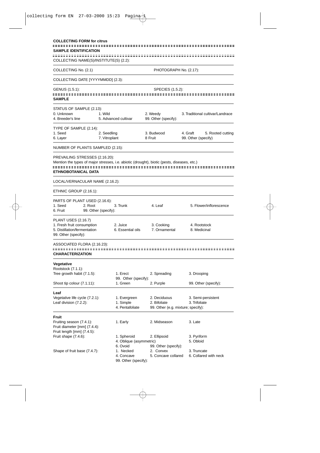| <b>COLLECTING FORM for citrus</b>                                                           |                              |                                  |                                    |                                                      |  |  |
|---------------------------------------------------------------------------------------------|------------------------------|----------------------------------|------------------------------------|------------------------------------------------------|--|--|
| <b>SAMPLE IDENTIFICATION</b>                                                                |                              |                                  |                                    |                                                      |  |  |
| COLLECTING NAME(S)/INSTITUTE(S) (2.2):                                                      |                              |                                  |                                    |                                                      |  |  |
| COLLECTING No. (2.1)                                                                        |                              |                                  | PHOTOGRAPH No. (2.17):             |                                                      |  |  |
| COLLECTING DATE [YYYYMMDD] (2.3):                                                           |                              |                                  |                                    |                                                      |  |  |
| GENUS (1.5.1):                                                                              |                              |                                  | SPECIES (1.5.2):                   |                                                      |  |  |
| <b>SAMPLE</b>                                                                               |                              |                                  |                                    |                                                      |  |  |
| STATUS OF SAMPLE (2.13):                                                                    |                              |                                  |                                    |                                                      |  |  |
| 0. Unknown                                                                                  | 1. Wild                      |                                  | 2. Weedy                           | 3. Traditional cultivar/Landrace                     |  |  |
| 4. Breeder's line                                                                           |                              | 5. Advanced cultivar             | 99. Other (specify):               |                                                      |  |  |
| TYPE OF SAMPLE (2.14):                                                                      |                              |                                  |                                    |                                                      |  |  |
| 1. Seed<br>6. Layer                                                                         | 2. Seedling<br>7. Vitroplant |                                  | 3. Budwood<br>8 Fruit              | 4. Graft<br>5. Rooted cutting<br>99. Other (specify) |  |  |
|                                                                                             |                              |                                  |                                    |                                                      |  |  |
| NUMBER OF PLANTS SAMPLED (2.15):                                                            |                              |                                  |                                    |                                                      |  |  |
| PREVAILING STRESSES (2.16.20):                                                              |                              |                                  |                                    |                                                      |  |  |
| Mention the types of major stresses, i.e. abiotic (drought), biotic (pests, diseases, etc.) |                              |                                  |                                    |                                                      |  |  |
| ETHNOBOTANICAL DATA                                                                         |                              |                                  |                                    |                                                      |  |  |
| LOCAL/VERNACULAR NAME (2.16.2):                                                             |                              |                                  |                                    |                                                      |  |  |
| ETHNIC GROUP (2.16.1):                                                                      |                              |                                  |                                    |                                                      |  |  |
| PARTS OF PLANT USED (2.16.6):                                                               |                              |                                  |                                    |                                                      |  |  |
| 1. Seed<br>2. Root                                                                          |                              | 3. Trunk                         | 4. Leaf                            | 5. Flower/inflorescence                              |  |  |
| 6. Fruit                                                                                    | 99. Other (specify):         |                                  |                                    |                                                      |  |  |
| PLANT USES (2.16.7)                                                                         |                              |                                  |                                    |                                                      |  |  |
| 1. Fresh fruit consumption                                                                  |                              | 2. Juice                         | 3. Cooking                         | 4. Rootstock                                         |  |  |
| 5. Distillation/fermentation<br>99. Other (specify):                                        |                              | 6. Essential oils                | 7. Ornamental                      | 8. Medicinal                                         |  |  |
|                                                                                             |                              |                                  |                                    |                                                      |  |  |
| ASSOCIATED FLORA (2.16.23):                                                                 |                              |                                  |                                    |                                                      |  |  |
| <b>CHARACTERIZATION</b>                                                                     |                              |                                  |                                    |                                                      |  |  |
| Vegetative                                                                                  |                              |                                  |                                    |                                                      |  |  |
| Rootstock (7.1.1):                                                                          |                              |                                  |                                    |                                                      |  |  |
| Tree growth habit (7.1.5):                                                                  |                              | 1. Erect<br>99. Other (specify): | 2. Spreading                       | 3. Drooping                                          |  |  |
| Shoot tip colour (7.1.11):                                                                  |                              | 1. Green                         | 2. Purple                          | 99. Other (specify):                                 |  |  |
| Leaf                                                                                        |                              |                                  |                                    |                                                      |  |  |
| Vegetative life cycle (7.2.1):                                                              |                              | 1. Evergreen                     | 2. Deciduous                       | 3. Semi-persistent                                   |  |  |
| Leaf division (7.2.2):                                                                      |                              | 1. Simple                        | 2. Bifoliate                       | 3. Trifoliate                                        |  |  |
|                                                                                             |                              | 4. Pentafoliate                  | 99. Other (e.g. mixture; specify): |                                                      |  |  |
| Fruit                                                                                       |                              |                                  |                                    |                                                      |  |  |
| Fruiting season (7.4.1):                                                                    |                              | 1. Early                         | 2. Midseason                       | 3. Late                                              |  |  |
| Fruit diameter [mm] (7.4.4):<br>Fruit length [mm] (7.4.5):                                  |                              |                                  |                                    |                                                      |  |  |
| Fruit shape (7.4.6):                                                                        |                              | 1. Spheroid                      | 2. Ellipsoid                       | 3. Pyriform                                          |  |  |
|                                                                                             |                              | 4. Oblique (asymmetric)          |                                    | 5. Obloid                                            |  |  |
|                                                                                             |                              | 6. Ovoid                         | 99. Other (specify):<br>2. Convex  |                                                      |  |  |
| Shape of fruit base (7.4.7):                                                                |                              | 1. Necked<br>4. Concave          | 5. Concave collared                | 3. Truncate<br>6. Collared with neck                 |  |  |
|                                                                                             |                              | 99. Other (specify):             |                                    |                                                      |  |  |